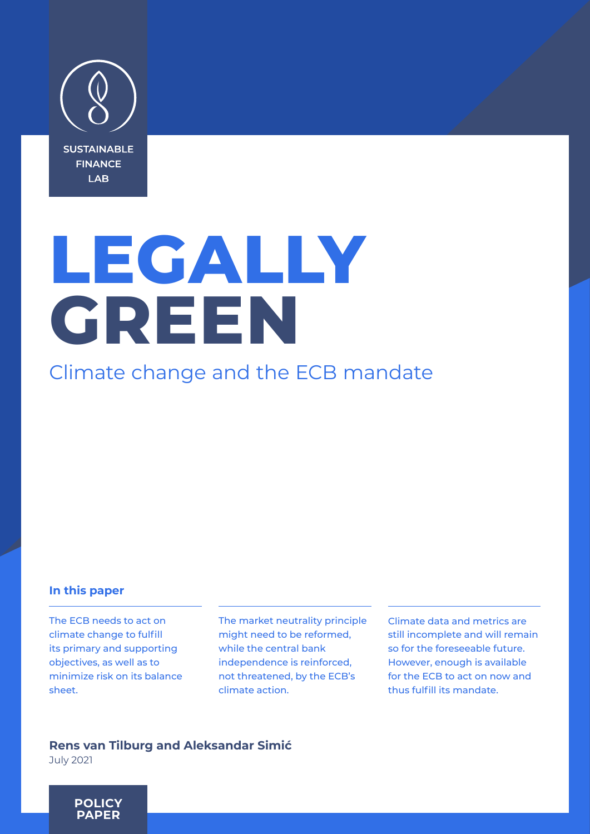

**FINANCE LAB** 

# **LEGALLY GREEN**

Climate change and the ECB mandate

#### **In this paper**

The ECB needs to act on climate change to fulfill its primary and supporting objectives, as well as to minimize risk on its balance sheet.

The market neutrality principle might need to be reformed, while the central bank independence is reinforced, not threatened, by the ECB's climate action.

Climate data and metrics are still incomplete and will remain so for the foreseeable future. However, enough is available for the ECB to act on now and thus fulfill its mandate.

#### **Rens van Tilburg and Aleksandar Simić**  July 2021

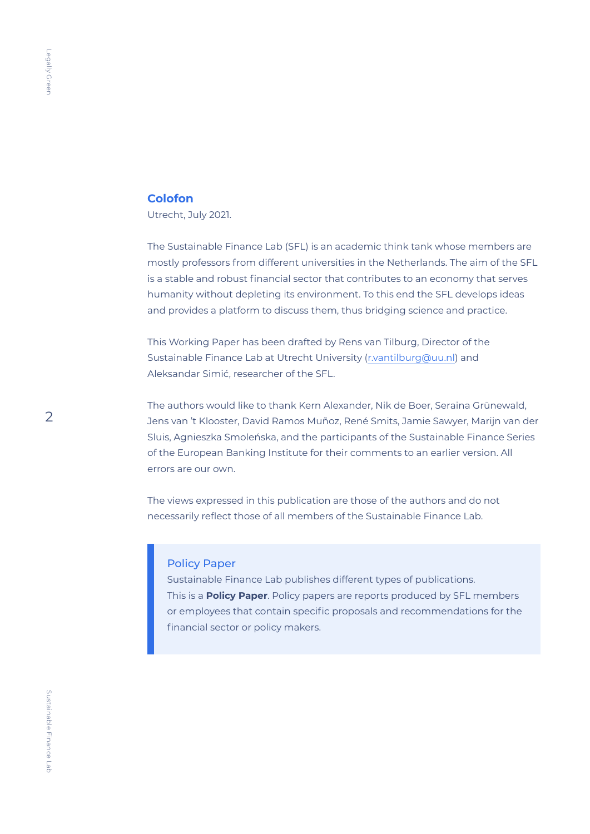#### **Colofon**

Utrecht, July 2021.

The Sustainable Finance Lab (SFL) is an academic think tank whose members are mostly professors from different universities in the Netherlands. The aim of the SFL is a stable and robust financial sector that contributes to an economy that serves humanity without depleting its environment. To this end the SFL develops ideas and provides a platform to discuss them, thus bridging science and practice.

This Working Paper has been drafted by Rens van Tilburg, Director of the Sustainable Finance Lab at Utrecht University [\(r.vantilburg@uu.nl](mailto:r.vantilburg%40uu.nl?subject=)) and Aleksandar Simić, researcher of the SFL.

The authors would like to thank Kern Alexander, Nik de Boer, Seraina Grünewald, Jens van 't Klooster, David Ramos Muñoz, René Smits, Jamie Sawyer, Marijn van der Sluis, Agnieszka Smoleńska, and the participants of the Sustainable Finance Series of the European Banking Institute for their comments to an earlier version. All errors are our own.

The views expressed in this publication are those of the authors and do not necessarily reflect those of all members of the Sustainable Finance Lab.

#### Policy Paper

Sustainable Finance Lab publishes different types of publications. This is a **Policy Paper**. Policy papers are reports produced by SFL members or employees that contain specific proposals and recommendations for the financial sector or policy makers.

 $\mathcal{P}$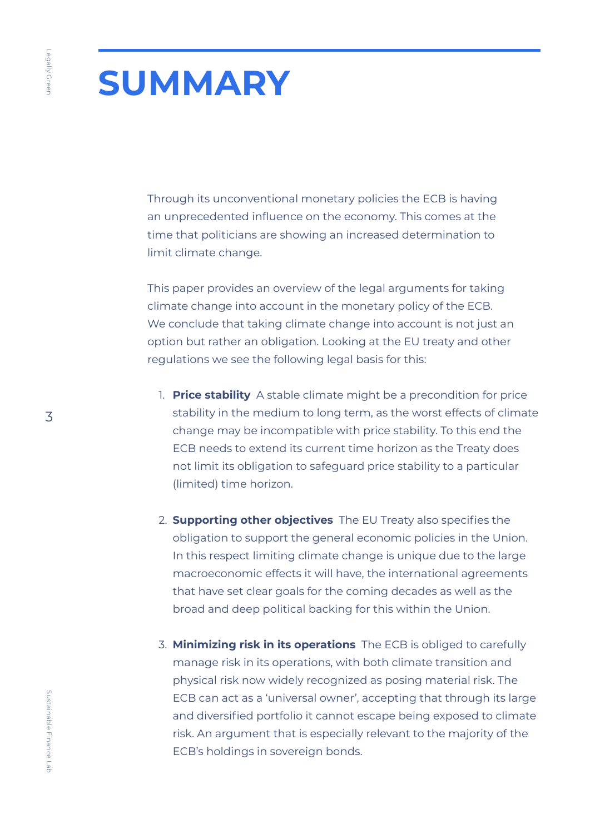### **SUMMARY**

Through its unconventional monetary policies the ECB is having an unprecedented influence on the economy. This comes at the time that politicians are showing an increased determination to limit climate change.

This paper provides an overview of the legal arguments for taking climate change into account in the monetary policy of the ECB. We conclude that taking climate change into account is not just an option but rather an obligation. Looking at the EU treaty and other regulations we see the following legal basis for this:

- 1. **Price stability** A stable climate might be a precondition for price stability in the medium to long term, as the worst effects of climate change may be incompatible with price stability. To this end the ECB needs to extend its current time horizon as the Treaty does not limit its obligation to safeguard price stability to a particular (limited) time horizon.
- 2. **Supporting other objectives** The EU Treaty also specifies the obligation to support the general economic policies in the Union. In this respect limiting climate change is unique due to the large macroeconomic effects it will have, the international agreements that have set clear goals for the coming decades as well as the broad and deep political backing for this within the Union.
- 3. **Minimizing risk in its operations** The ECB is obliged to carefully manage risk in its operations, with both climate transition and physical risk now widely recognized as posing material risk. The ECB can act as a 'universal owner', accepting that through its large and diversified portfolio it cannot escape being exposed to climate risk. An argument that is especially relevant to the majority of the ECB's holdings in sovereign bonds.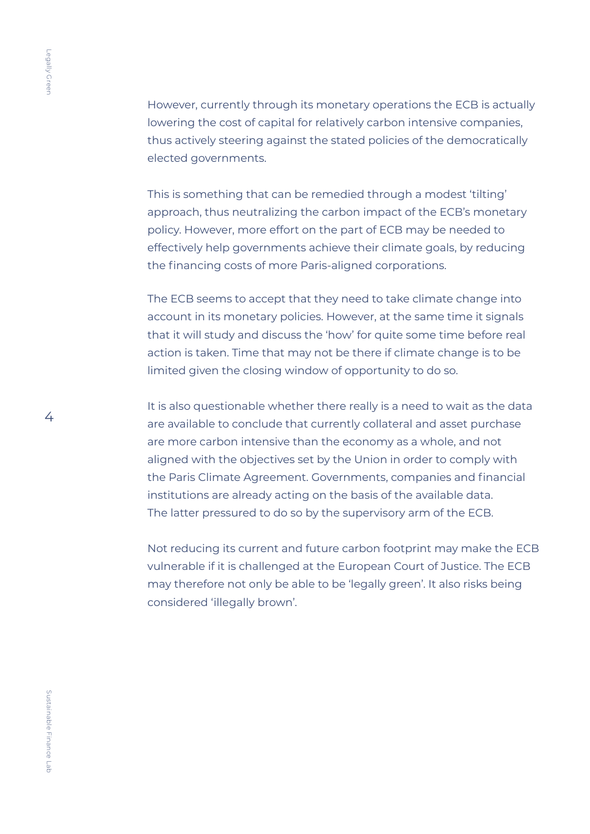However, currently through its monetary operations the ECB is actually lowering the cost of capital for relatively carbon intensive companies, thus actively steering against the stated policies of the democratically elected governments.

This is something that can be remedied through a modest 'tilting' approach, thus neutralizing the carbon impact of the ECB's monetary policy. However, more effort on the part of ECB may be needed to effectively help governments achieve their climate goals, by reducing the financing costs of more Paris-aligned corporations.

The ECB seems to accept that they need to take climate change into account in its monetary policies. However, at the same time it signals that it will study and discuss the 'how' for quite some time before real action is taken. Time that may not be there if climate change is to be limited given the closing window of opportunity to do so.

It is also questionable whether there really is a need to wait as the data are available to conclude that currently collateral and asset purchase are more carbon intensive than the economy as a whole, and not aligned with the objectives set by the Union in order to comply with the Paris Climate Agreement. Governments, companies and financial institutions are already acting on the basis of the available data. The latter pressured to do so by the supervisory arm of the ECB.

Not reducing its current and future carbon footprint may make the ECB vulnerable if it is challenged at the European Court of Justice. The ECB may therefore not only be able to be 'legally green'. It also risks being considered 'illegally brown'.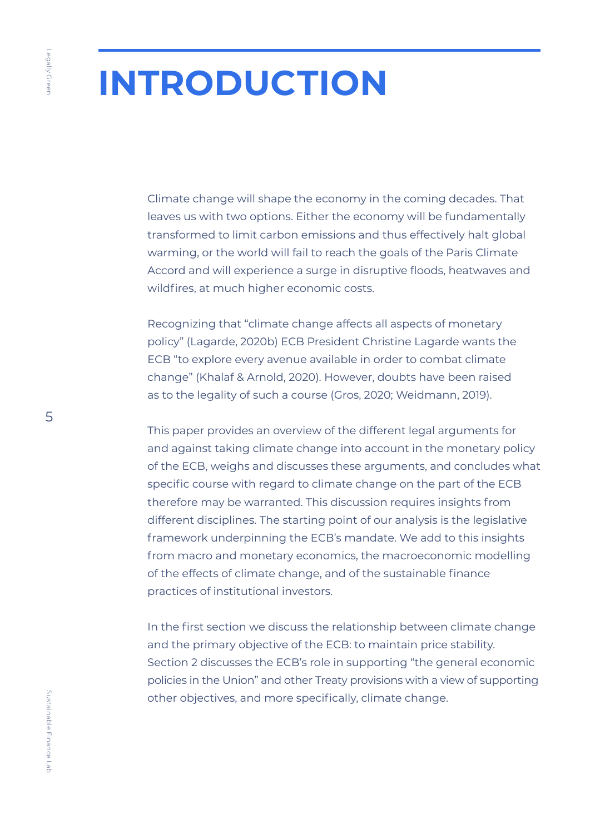## **INTRODUCTION**

Climate change will shape the economy in the coming decades. That leaves us with two options. Either the economy will be fundamentally transformed to limit carbon emissions and thus effectively halt global warming, or the world will fail to reach the goals of the Paris Climate Accord and will experience a surge in disruptive floods, heatwaves and wildfires, at much higher economic costs.

Recognizing that "climate change affects all aspects of monetary policy" (Lagarde, 2020b) ECB President Christine Lagarde wants the ECB "to explore every avenue available in order to combat climate change" (Khalaf & Arnold, 2020). However, doubts have been raised as to the legality of such a course (Gros, 2020; Weidmann, 2019).

This paper provides an overview of the different legal arguments for and against taking climate change into account in the monetary policy of the ECB, weighs and discusses these arguments, and concludes what specific course with regard to climate change on the part of the ECB therefore may be warranted. This discussion requires insights from different disciplines. The starting point of our analysis is the legislative framework underpinning the ECB's mandate. We add to this insights from macro and monetary economics, the macroeconomic modelling of the effects of climate change, and of the sustainable finance practices of institutional investors.

In the first section we discuss the relationship between climate change and the primary objective of the ECB: to maintain price stability. Section 2 discusses the ECB's role in supporting "the general economic policies in the Union" and other Treaty provisions with a view of supporting other objectives, and more specifically, climate change.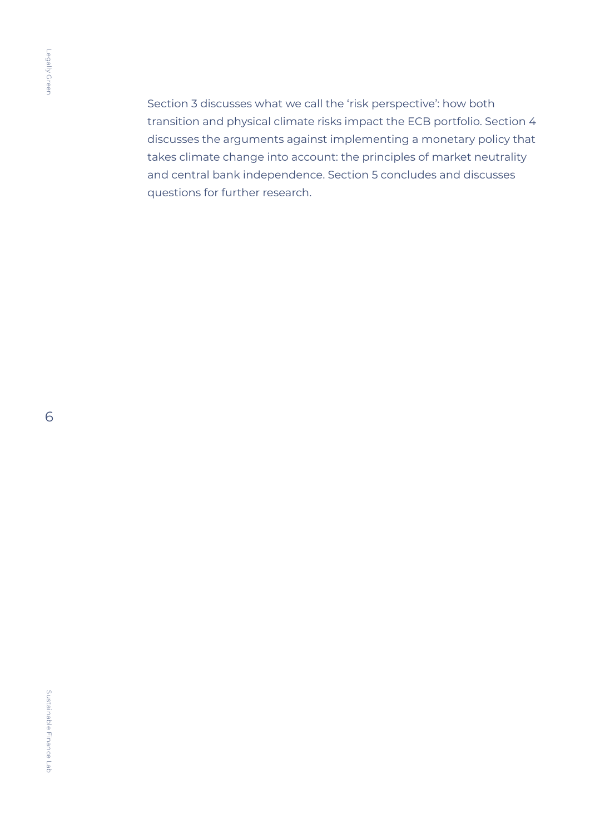Section 3 discusses what we call the 'risk perspective': how both transition and physical climate risks impact the ECB portfolio. Section 4 discusses the arguments against implementing a monetary policy that takes climate change into account: the principles of market neutrality and central bank independence. Section 5 concludes and discusses questions for further research.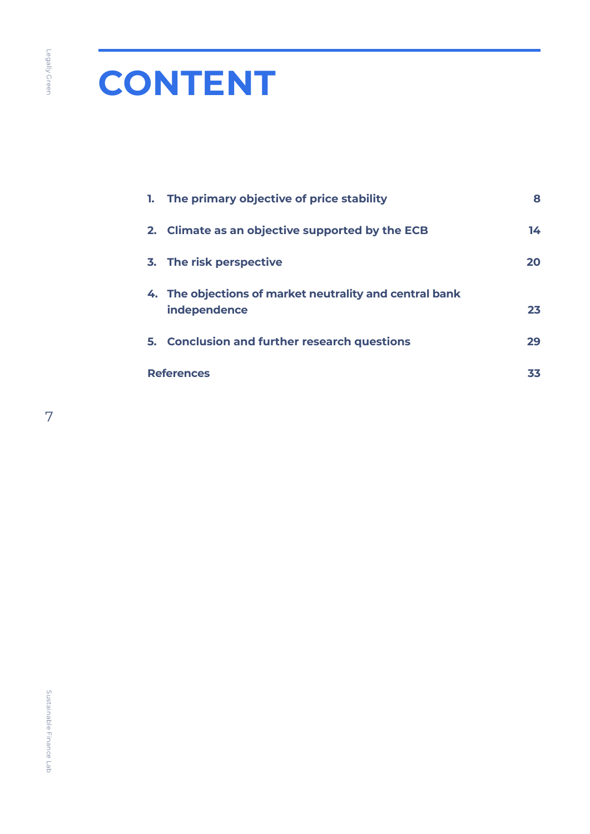### **CONTENT**

| 1. The primary objective of price stability                             | 8  |
|-------------------------------------------------------------------------|----|
| 2. Climate as an objective supported by the ECB                         | 14 |
| 3. The risk perspective                                                 | 20 |
| 4. The objections of market neutrality and central bank<br>independence | 23 |
| 5. Conclusion and further research questions                            | 29 |
| <b>References</b>                                                       |    |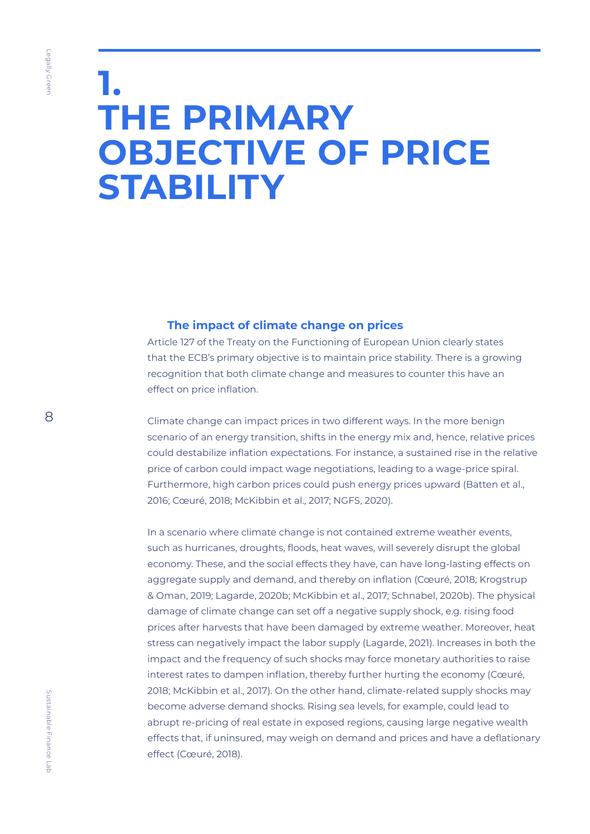### <span id="page-7-0"></span>**1. THE PRIMARY OBJECTIVE OF PRICE STABILITY**

#### **The impact of climate change on prices**

Article 127 of the Treaty on the Functioning of European Union clearly states that the ECB's primary objective is to maintain price stability. There is a growing recognition that both climate change and measures to counter this have an effect on price inflation.

Climate change can impact prices in two different ways. In the more benign scenario of an energy transition, shifts in the energy mix and, hence, relative prices could destabilize inflation expectations. For instance, a sustained rise in the relative price of carbon could impact wage negotiations, leading to a wage-price spiral. Furthermore, high carbon prices could push energy prices upward (Batten et al., 2016; Cœuré, 2018; McKibbin et al., 2017; NGFS, 2020).

In a scenario where climate change is not contained extreme weather events, such as hurricanes, droughts, floods, heat waves, will severely disrupt the global economy. These, and the social effects they have, can have long-lasting effects on aggregate supply and demand, and thereby on inflation (Cœuré, 2018; Krogstrup & Oman, 2019; Lagarde, 2020b; McKibbin et al., 2017; Schnabel, 2020b). The physical damage of climate change can set off a negative supply shock, e.g. rising food prices after harvests that have been damaged by extreme weather. Moreover, heat stress can negatively impact the labor supply (Lagarde, 2021). Increases in both the impact and the frequency of such shocks may force monetary authorities to raise interest rates to dampen inflation, thereby further hurting the economy (Cœuré, 2018; McKibbin et al., 2017). On the other hand, climate-related supply shocks may become adverse demand shocks. Rising sea levels, for example, could lead to abrupt re-pricing of real estate in exposed regions, causing large negative wealth effects that, if uninsured, may weigh on demand and prices and have a deflationary effect (Cœuré, 2018).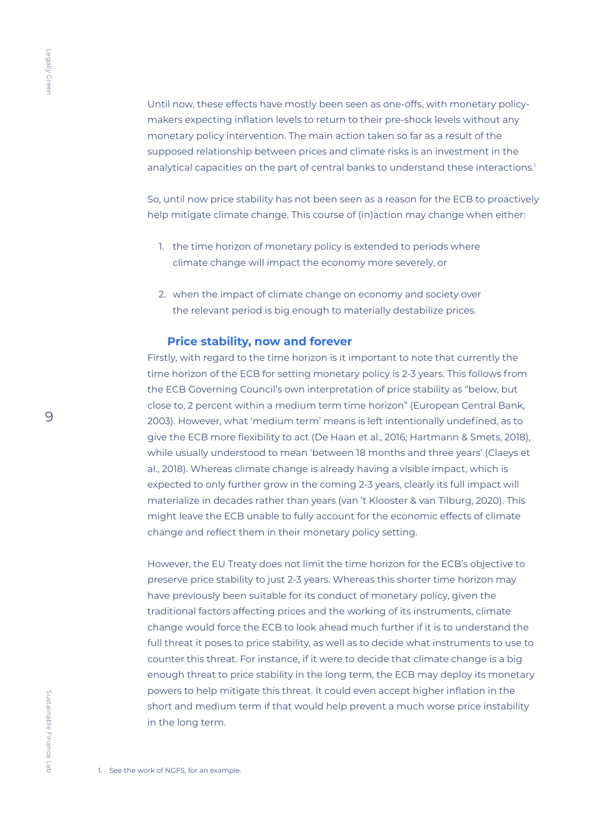Until now, these effects have mostly been seen as one-offs, with monetary policymakers expecting inflation levels to return to their pre-shock levels without any monetary policy intervention. The main action taken so far as a result of the supposed relationship between prices and climate risks is an investment in the analytical capacities on the part of central banks to understand these interactions.<sup>1</sup>

So, until now price stability has not been seen as a reason for the ECB to proactively help mitigate climate change. This course of (in)action may change when either:

- 1. the time horizon of monetary policy is extended to periods where climate change will impact the economy more severely, or
- 2. when the impact of climate change on economy and society over the relevant period is big enough to materially destabilize prices.

#### **Price stability, now and forever**

Firstly, with regard to the time horizon is it important to note that currently the time horizon of the ECB for setting monetary policy is 2-3 years. This follows from the ECB Governing Council's own interpretation of price stability as "below, but close to, 2 percent within a medium term time horizon" (European Central Bank, 2003). However, what 'medium term' means is left intentionally undefined, as to give the ECB more flexibility to act (De Haan et al., 2016; Hartmann & Smets, 2018), while usually understood to mean 'between 18 months and three years' (Claeys et al., 2018). Whereas climate change is already having a visible impact, which is expected to only further grow in the coming 2-3 years, clearly its full impact will materialize in decades rather than years (van 't Klooster & van Tilburg, 2020). This might leave the ECB unable to fully account for the economic effects of climate change and reflect them in their monetary policy setting.

However, the EU Treaty does not limit the time horizon for the ECB's objective to preserve price stability to just 2-3 years. Whereas this shorter time horizon may have previously been suitable for its conduct of monetary policy, given the traditional factors affecting prices and the working of its instruments, climate change would force the ECB to look ahead much further if it is to understand the full threat it poses to price stability, as well as to decide what instruments to use to counter this threat. For instance, if it were to decide that climate change is a big enough threat to price stability in the long term, the ECB may deploy its monetary powers to help mitigate this threat. It could even accept higher inflation in the short and medium term if that would help prevent a much worse price instability in the long term.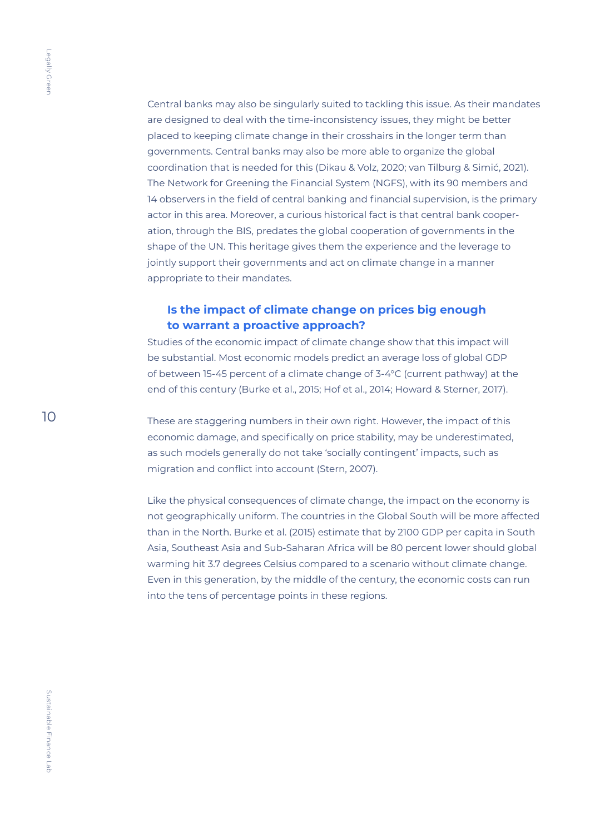Central banks may also be singularly suited to tackling this issue. As their mandates are designed to deal with the time-inconsistency issues, they might be better placed to keeping climate change in their crosshairs in the longer term than governments. Central banks may also be more able to organize the global coordination that is needed for this (Dikau & Volz, 2020; van Tilburg & Simić, 2021). The Network for Greening the Financial System (NGFS), with its 90 members and 14 observers in the field of central banking and financial supervision, is the primary actor in this area. Moreover, a curious historical fact is that central bank cooperation, through the BIS, predates the global cooperation of governments in the shape of the UN. This heritage gives them the experience and the leverage to jointly support their governments and act on climate change in a manner appropriate to their mandates.

#### **Is the impact of climate change on prices big enough to warrant a proactive approach?**

Studies of the economic impact of climate change show that this impact will be substantial. Most economic models predict an average loss of global GDP of between 15-45 percent of a climate change of 3-4°C (current pathway) at the end of this century (Burke et al., 2015; Hof et al., 2014; Howard & Sterner, 2017).

These are staggering numbers in their own right. However, the impact of this economic damage, and specifically on price stability, may be underestimated, as such models generally do not take 'socially contingent' impacts, such as migration and conflict into account (Stern, 2007).

Like the physical consequences of climate change, the impact on the economy is not geographically uniform. The countries in the Global South will be more affected than in the North. Burke et al. (2015) estimate that by 2100 GDP per capita in South Asia, Southeast Asia and Sub-Saharan Africa will be 80 percent lower should global warming hit 3.7 degrees Celsius compared to a scenario without climate change. Even in this generation, by the middle of the century, the economic costs can run into the tens of percentage points in these regions.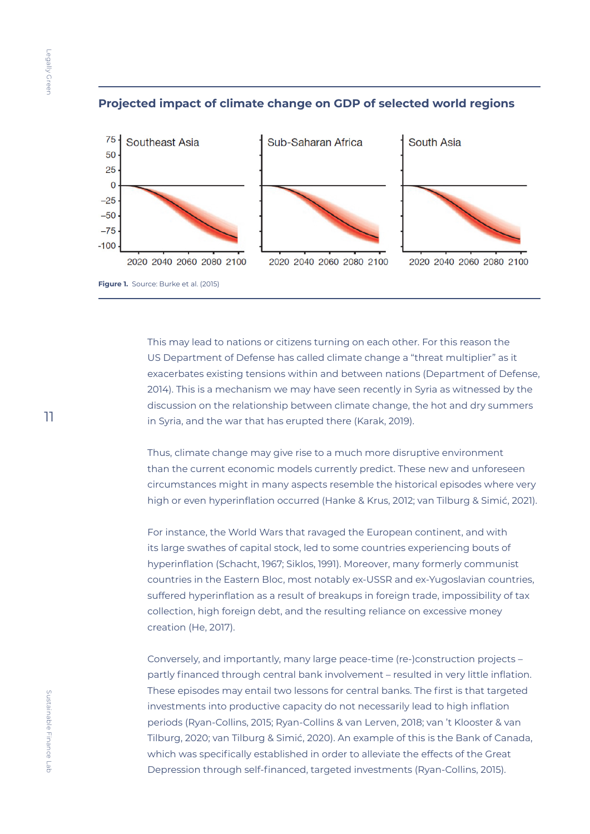

#### **Projected impact of climate change on GDP of selected world regions**

This may lead to nations or citizens turning on each other. For this reason the US Department of Defense has called climate change a "threat multiplier" as it exacerbates existing tensions within and between nations (Department of Defense, 2014). This is a mechanism we may have seen recently in Syria as witnessed by the discussion on the relationship between climate change, the hot and dry summers in Syria, and the war that has erupted there (Karak, 2019).

Thus, climate change may give rise to a much more disruptive environment than the current economic models currently predict. These new and unforeseen circumstances might in many aspects resemble the historical episodes where very high or even hyperinflation occurred (Hanke & Krus, 2012; van Tilburg & Simić, 2021).

For instance, the World Wars that ravaged the European continent, and with its large swathes of capital stock, led to some countries experiencing bouts of hyperinflation (Schacht, 1967; Siklos, 1991). Moreover, many formerly communist countries in the Eastern Bloc, most notably ex-USSR and ex-Yugoslavian countries, suffered hyperinflation as a result of breakups in foreign trade, impossibility of tax collection, high foreign debt, and the resulting reliance on excessive money creation (He, 2017).

Conversely, and importantly, many large peace-time (re-)construction projects – partly financed through central bank involvement – resulted in very little inflation. These episodes may entail two lessons for central banks. The first is that targeted investments into productive capacity do not necessarily lead to high inflation periods (Ryan-Collins, 2015; Ryan-Collins & van Lerven, 2018; van 't Klooster & van Tilburg, 2020; van Tilburg & Simić, 2020). An example of this is the Bank of Canada, which was specifically established in order to alleviate the effects of the Great Depression through self-financed, targeted investments (Ryan-Collins, 2015).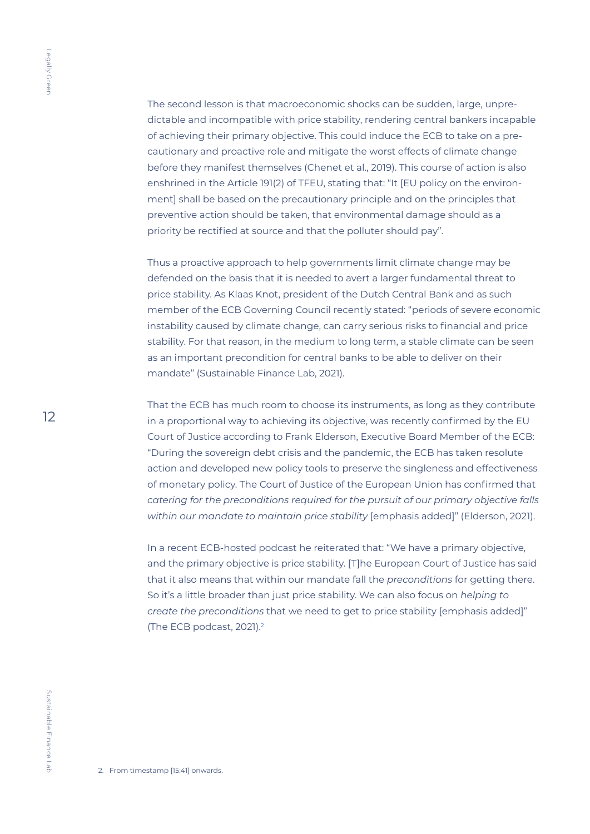The second lesson is that macroeconomic shocks can be sudden, large, unpredictable and incompatible with price stability, rendering central bankers incapable of achieving their primary objective. This could induce the ECB to take on a precautionary and proactive role and mitigate the worst effects of climate change before they manifest themselves (Chenet et al., 2019). This course of action is also enshrined in the Article 191(2) of TFEU, stating that: "It [EU policy on the environment] shall be based on the precautionary principle and on the principles that preventive action should be taken, that environmental damage should as a priority be rectified at source and that the polluter should pay".

Thus a proactive approach to help governments limit climate change may be defended on the basis that it is needed to avert a larger fundamental threat to price stability. As Klaas Knot, president of the Dutch Central Bank and as such member of the ECB Governing Council recently stated: "periods of severe economic instability caused by climate change, can carry serious risks to financial and price stability. For that reason, in the medium to long term, a stable climate can be seen as an important precondition for central banks to be able to deliver on their mandate" (Sustainable Finance Lab, 2021).

That the ECB has much room to choose its instruments, as long as they contribute in a proportional way to achieving its objective, was recently confirmed by the EU Court of Justice according to Frank Elderson, Executive Board Member of the ECB: "During the sovereign debt crisis and the pandemic, the ECB has taken resolute action and developed new policy tools to preserve the singleness and effectiveness of monetary policy. The Court of Justice of the European Union has confirmed that *catering for the preconditions required for the pursuit of our primary objective falls within our mandate to maintain price stability* [emphasis added]" (Elderson, 2021).

In a recent ECB-hosted podcast he reiterated that: "We have a primary objective, and the primary objective is price stability. [T]he European Court of Justice has said that it also means that within our mandate fall the *preconditions* for getting there. So it's a little broader than just price stability. We can also focus on *helping to create the preconditions* that we need to get to price stability [emphasis added]" (The ECB podcast, 2021).2

12

2. From timestamp [15:41] onwards.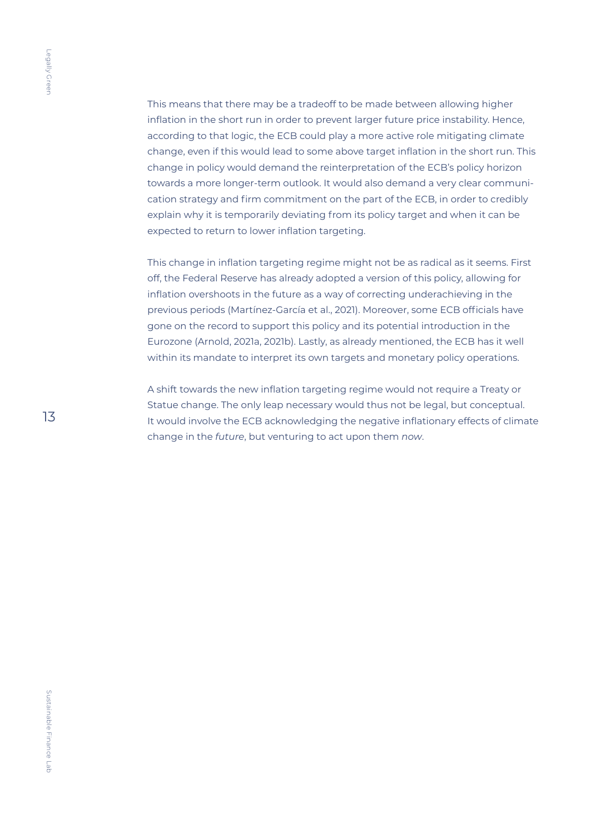This means that there may be a tradeoff to be made between allowing higher inflation in the short run in order to prevent larger future price instability. Hence, according to that logic, the ECB could play a more active role mitigating climate change, even if this would lead to some above target inflation in the short run. This change in policy would demand the reinterpretation of the ECB's policy horizon towards a more longer-term outlook. It would also demand a very clear communication strategy and firm commitment on the part of the ECB, in order to credibly explain why it is temporarily deviating from its policy target and when it can be expected to return to lower inflation targeting.

This change in inflation targeting regime might not be as radical as it seems. First off, the Federal Reserve has already adopted a version of this policy, allowing for inflation overshoots in the future as a way of correcting underachieving in the previous periods (Martínez-García et al., 2021). Moreover, some ECB officials have gone on the record to support this policy and its potential introduction in the Eurozone (Arnold, 2021a, 2021b). Lastly, as already mentioned, the ECB has it well within its mandate to interpret its own targets and monetary policy operations.

A shift towards the new inflation targeting regime would not require a Treaty or Statue change. The only leap necessary would thus not be legal, but conceptual. It would involve the ECB acknowledging the negative inflationary effects of climate change in the *future*, but venturing to act upon them *now*.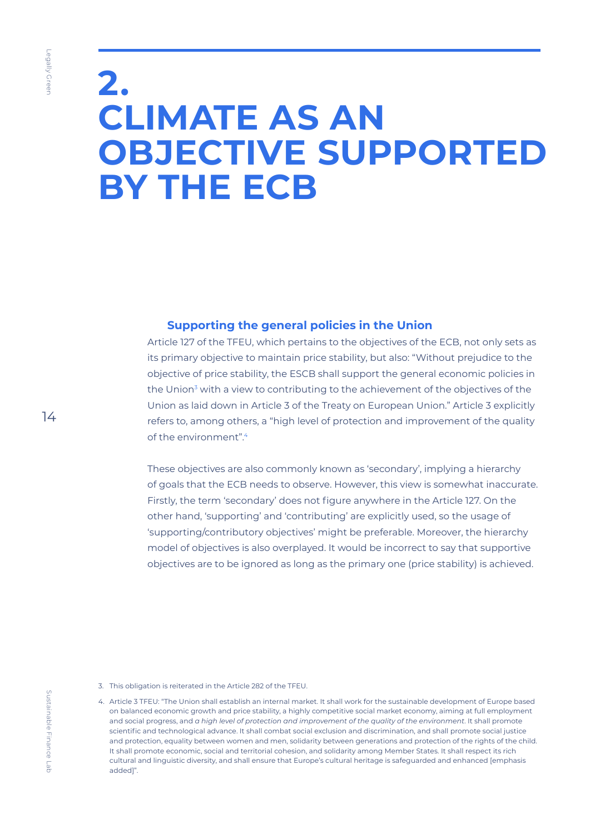### <span id="page-13-0"></span>**2. CLIMATE AS AN OBJECTIVE SUPPORTED BY THE ECB**

#### **Supporting the general policies in the Union**

Article 127 of the TFEU, which pertains to the objectives of the ECB, not only sets as its primary objective to maintain price stability, but also: "Without prejudice to the objective of price stability, the ESCB shall support the general economic policies in the Union<sup>3</sup> with a view to contributing to the achievement of the objectives of the Union as laid down in Article 3 of the Treaty on European Union." Article 3 explicitly refers to, among others, a "high level of protection and improvement of the quality of the environment".4

These objectives are also commonly known as 'secondary', implying a hierarchy of goals that the ECB needs to observe. However, this view is somewhat inaccurate. Firstly, the term 'secondary' does not figure anywhere in the Article 127. On the other hand, 'supporting' and 'contributing' are explicitly used, so the usage of 'supporting/contributory objectives' might be preferable. Moreover, the hierarchy model of objectives is also overplayed. It would be incorrect to say that supportive objectives are to be ignored as long as the primary one (price stability) is achieved.

3. This obligation is reiterated in the Article 282 of the TFEU.

4. Article 3 TFEU: "The Union shall establish an internal market. It shall work for the sustainable development of Europe based on balanced economic growth and price stability, a highly competitive social market economy, aiming at full employment and social progress, and *a high level of protection and improvement of the quality of the environment*. It shall promote scientific and technological advance. It shall combat social exclusion and discrimination, and shall promote social justice and protection, equality between women and men, solidarity between generations and protection of the rights of the child. It shall promote economic, social and territorial cohesion, and solidarity among Member States. It shall respect its rich cultural and linguistic diversity, and shall ensure that Europe's cultural heritage is safeguarded and enhanced [emphasis added]".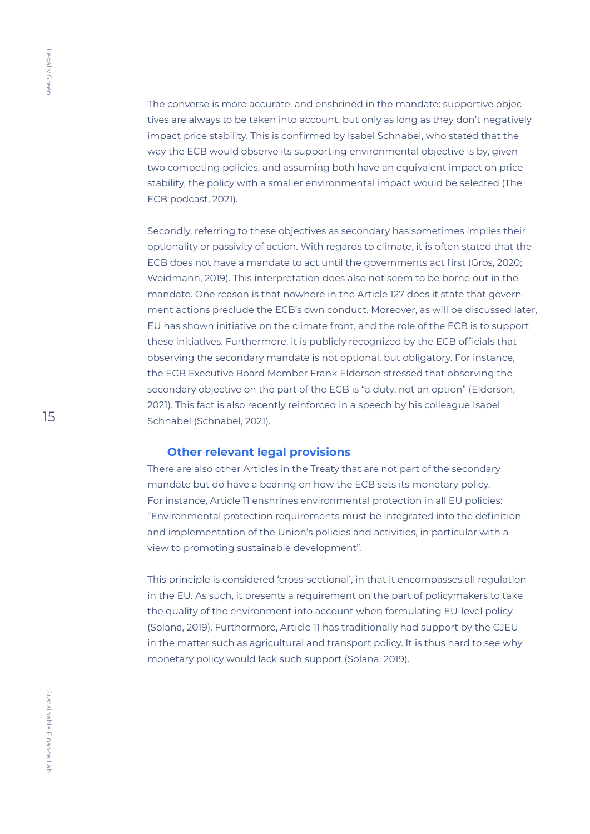The converse is more accurate, and enshrined in the mandate: supportive objectives are always to be taken into account, but only as long as they don't negatively impact price stability. This is confirmed by Isabel Schnabel, who stated that the way the ECB would observe its supporting environmental objective is by, given two competing policies, and assuming both have an equivalent impact on price stability, the policy with a smaller environmental impact would be selected (The ECB podcast, 2021).

Secondly, referring to these objectives as secondary has sometimes implies their optionality or passivity of action. With regards to climate, it is often stated that the ECB does not have a mandate to act until the governments act first (Gros, 2020; Weidmann, 2019). This interpretation does also not seem to be borne out in the mandate. One reason is that nowhere in the Article 127 does it state that government actions preclude the ECB's own conduct. Moreover, as will be discussed later, EU has shown initiative on the climate front, and the role of the ECB is to support these initiatives. Furthermore, it is publicly recognized by the ECB officials that observing the secondary mandate is not optional, but obligatory. For instance, the ECB Executive Board Member Frank Elderson stressed that observing the secondary objective on the part of the ECB is "a duty, not an option" (Elderson, 2021). This fact is also recently reinforced in a speech by his colleague Isabel Schnabel (Schnabel, 2021).

#### **Other relevant legal provisions**

There are also other Articles in the Treaty that are not part of the secondary mandate but do have a bearing on how the ECB sets its monetary policy. For instance, Article 11 enshrines environmental protection in all EU policies: "Environmental protection requirements must be integrated into the definition and implementation of the Union's policies and activities, in particular with a view to promoting sustainable development".

This principle is considered 'cross-sectional', in that it encompasses all regulation in the EU. As such, it presents a requirement on the part of policymakers to take the quality of the environment into account when formulating EU-level policy (Solana, 2019). Furthermore, Article 11 has traditionally had support by the CJEU in the matter such as agricultural and transport policy. It is thus hard to see why monetary policy would lack such support (Solana, 2019).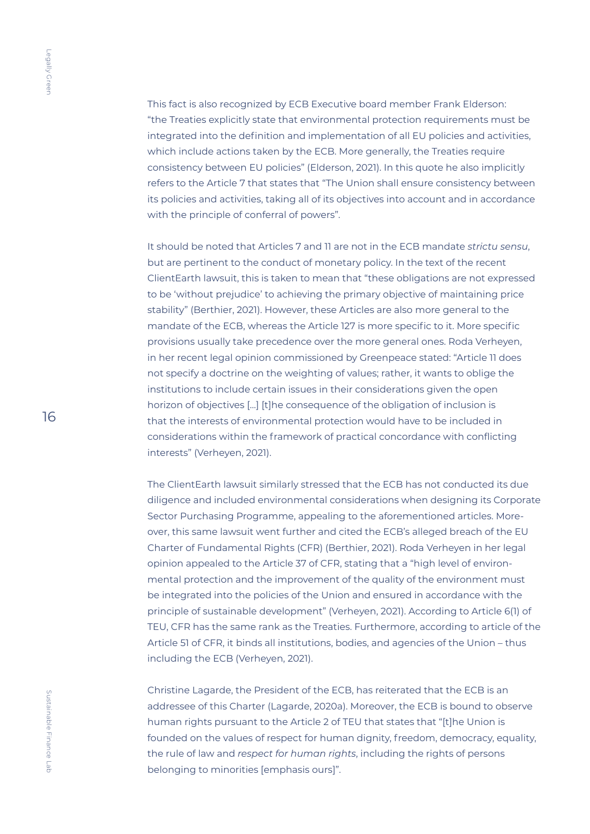This fact is also recognized by ECB Executive board member Frank Elderson: "the Treaties explicitly state that environmental protection requirements must be integrated into the definition and implementation of all EU policies and activities, which include actions taken by the ECB. More generally, the Treaties require consistency between EU policies" (Elderson, 2021). In this quote he also implicitly refers to the Article 7 that states that "The Union shall ensure consistency between its policies and activities, taking all of its objectives into account and in accordance with the principle of conferral of powers".

It should be noted that Articles 7 and 11 are not in the ECB mandate *strictu sensu*, but are pertinent to the conduct of monetary policy. In the text of the recent ClientEarth lawsuit, this is taken to mean that "these obligations are not expressed to be 'without prejudice' to achieving the primary objective of maintaining price stability" (Berthier, 2021). However, these Articles are also more general to the mandate of the ECB, whereas the Article 127 is more specific to it. More specific provisions usually take precedence over the more general ones. Roda Verheyen, in her recent legal opinion commissioned by Greenpeace stated: "Article 11 does not specify a doctrine on the weighting of values; rather, it wants to oblige the institutions to include certain issues in their considerations given the open horizon of objectives […] [t]he consequence of the obligation of inclusion is that the interests of environmental protection would have to be included in considerations within the framework of practical concordance with conflicting interests" (Verheyen, 2021).

The ClientEarth lawsuit similarly stressed that the ECB has not conducted its due diligence and included environmental considerations when designing its Corporate Sector Purchasing Programme, appealing to the aforementioned articles. Moreover, this same lawsuit went further and cited the ECB's alleged breach of the EU Charter of Fundamental Rights (CFR) (Berthier, 2021). Roda Verheyen in her legal opinion appealed to the Article 37 of CFR, stating that a "high level of environmental protection and the improvement of the quality of the environment must be integrated into the policies of the Union and ensured in accordance with the principle of sustainable development" (Verheyen, 2021). According to Article 6(1) of TEU, CFR has the same rank as the Treaties. Furthermore, according to article of the Article 51 of CFR, it binds all institutions, bodies, and agencies of the Union – thus including the ECB (Verheyen, 2021).

Christine Lagarde, the President of the ECB, has reiterated that the ECB is an addressee of this Charter (Lagarde, 2020a). Moreover, the ECB is bound to observe human rights pursuant to the Article 2 of TEU that states that "[t]he Union is founded on the values of respect for human dignity, freedom, democracy, equality, the rule of law and *respect for human rights*, including the rights of persons belonging to minorities [emphasis ours]".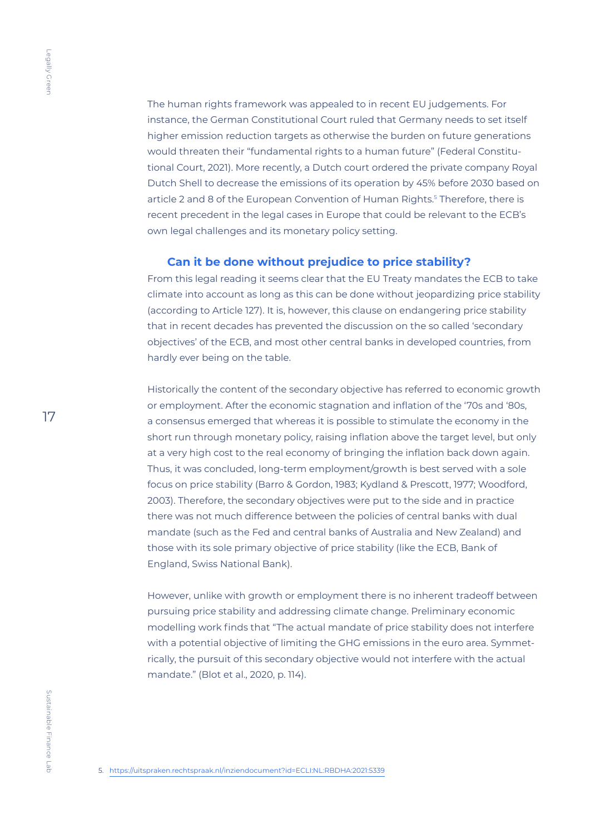The human rights framework was appealed to in recent EU judgements. For instance, the German Constitutional Court ruled that Germany needs to set itself higher emission reduction targets as otherwise the burden on future generations would threaten their "fundamental rights to a human future" (Federal Constitutional Court, 2021). More recently, a Dutch court ordered the private company Royal Dutch Shell to decrease the emissions of its operation by 45% before 2030 based on article 2 and 8 of the European Convention of Human Rights.<sup>5</sup> Therefore, there is recent precedent in the legal cases in Europe that could be relevant to the ECB's own legal challenges and its monetary policy setting.

#### **Can it be done without prejudice to price stability?**

From this legal reading it seems clear that the EU Treaty mandates the ECB to take climate into account as long as this can be done without jeopardizing price stability (according to Article 127). It is, however, this clause on endangering price stability that in recent decades has prevented the discussion on the so called 'secondary objectives' of the ECB, and most other central banks in developed countries, from hardly ever being on the table.

Historically the content of the secondary objective has referred to economic growth or employment. After the economic stagnation and inflation of the '70s and '80s, a consensus emerged that whereas it is possible to stimulate the economy in the short run through monetary policy, raising inflation above the target level, but only at a very high cost to the real economy of bringing the inflation back down again. Thus, it was concluded, long-term employment/growth is best served with a sole focus on price stability (Barro & Gordon, 1983; Kydland & Prescott, 1977; Woodford, 2003). Therefore, the secondary objectives were put to the side and in practice there was not much difference between the policies of central banks with dual mandate (such as the Fed and central banks of Australia and New Zealand) and those with its sole primary objective of price stability (like the ECB, Bank of England, Swiss National Bank).

However, unlike with growth or employment there is no inherent tradeoff between pursuing price stability and addressing climate change. Preliminary economic modelling work finds that "The actual mandate of price stability does not interfere with a potential objective of limiting the GHG emissions in the euro area. Symmetrically, the pursuit of this secondary objective would not interfere with the actual mandate." (Blot et al., 2020, p. 114).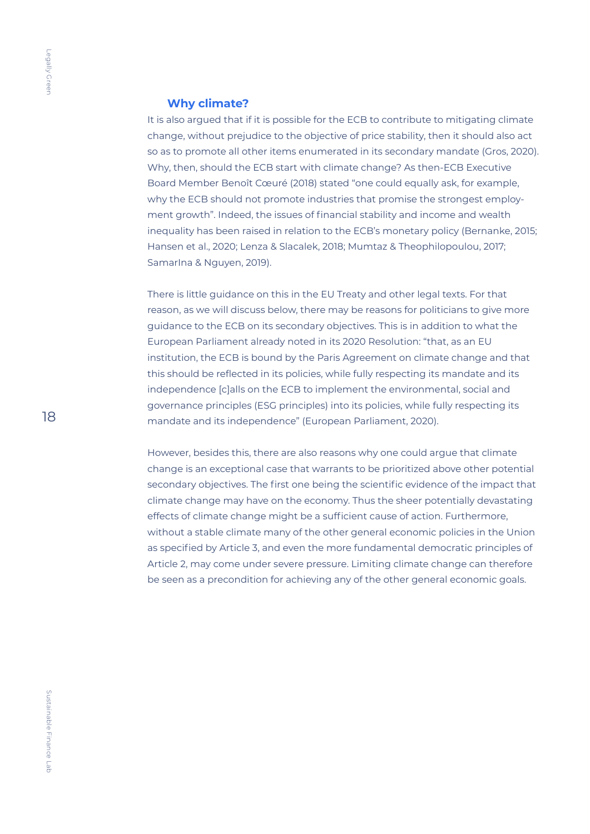#### **Why climate?**

It is also argued that if it is possible for the ECB to contribute to mitigating climate change, without prejudice to the objective of price stability, then it should also act so as to promote all other items enumerated in its secondary mandate (Gros, 2020). Why, then, should the ECB start with climate change? As then-ECB Executive Board Member Benoît Cœuré (2018) stated "one could equally ask, for example, why the ECB should not promote industries that promise the strongest employment growth". Indeed, the issues of financial stability and income and wealth inequality has been raised in relation to the ECB's monetary policy (Bernanke, 2015; Hansen et al., 2020; Lenza & Slacalek, 2018; Mumtaz & Theophilopoulou, 2017; SamarIna & Nguyen, 2019).

There is little guidance on this in the EU Treaty and other legal texts. For that reason, as we will discuss below, there may be reasons for politicians to give more guidance to the ECB on its secondary objectives. This is in addition to what the European Parliament already noted in its 2020 Resolution: "that, as an EU institution, the ECB is bound by the Paris Agreement on climate change and that this should be reflected in its policies, while fully respecting its mandate and its independence [c]alls on the ECB to implement the environmental, social and governance principles (ESG principles) into its policies, while fully respecting its mandate and its independence" (European Parliament, 2020).

However, besides this, there are also reasons why one could argue that climate change is an exceptional case that warrants to be prioritized above other potential secondary objectives. The first one being the scientific evidence of the impact that climate change may have on the economy. Thus the sheer potentially devastating effects of climate change might be a sufficient cause of action. Furthermore, without a stable climate many of the other general economic policies in the Union as specified by Article 3, and even the more fundamental democratic principles of Article 2, may come under severe pressure. Limiting climate change can therefore be seen as a precondition for achieving any of the other general economic goals.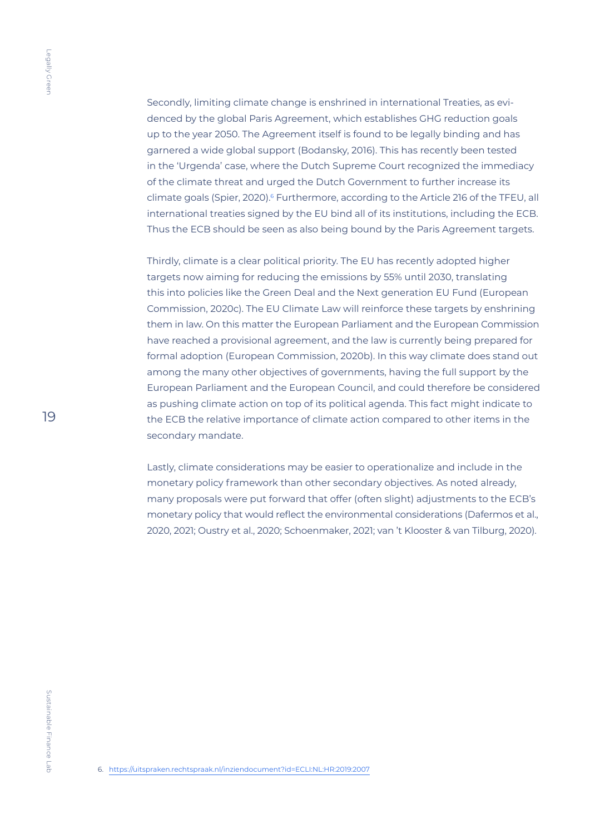Secondly, limiting climate change is enshrined in international Treaties, as evidenced by the global Paris Agreement, which establishes GHG reduction goals up to the year 2050. The Agreement itself is found to be legally binding and has garnered a wide global support (Bodansky, 2016). This has recently been tested in the 'Urgenda' case, where the Dutch Supreme Court recognized the immediacy of the climate threat and urged the Dutch Government to further increase its climate goals (Spier, 2020).<sup>6</sup> Furthermore, according to the Article 216 of the TFEU, all international treaties signed by the EU bind all of its institutions, including the ECB. Thus the ECB should be seen as also being bound by the Paris Agreement targets.

Thirdly, climate is a clear political priority. The EU has recently adopted higher targets now aiming for reducing the emissions by 55% until 2030, translating this into policies like the Green Deal and the Next generation EU Fund (European Commission, 2020c). The EU Climate Law will reinforce these targets by enshrining them in law. On this matter the European Parliament and the European Commission have reached a provisional agreement, and the law is currently being prepared for formal adoption (European Commission, 2020b). In this way climate does stand out among the many other objectives of governments, having the full support by the European Parliament and the European Council, and could therefore be considered as pushing climate action on top of its political agenda. This fact might indicate to the ECB the relative importance of climate action compared to other items in the secondary mandate.

Lastly, climate considerations may be easier to operationalize and include in the monetary policy framework than other secondary objectives. As noted already, many proposals were put forward that offer (often slight) adjustments to the ECB's monetary policy that would reflect the environmental considerations (Dafermos et al., 2020, 2021; Oustry et al., 2020; Schoenmaker, 2021; van 't Klooster & van Tilburg, 2020).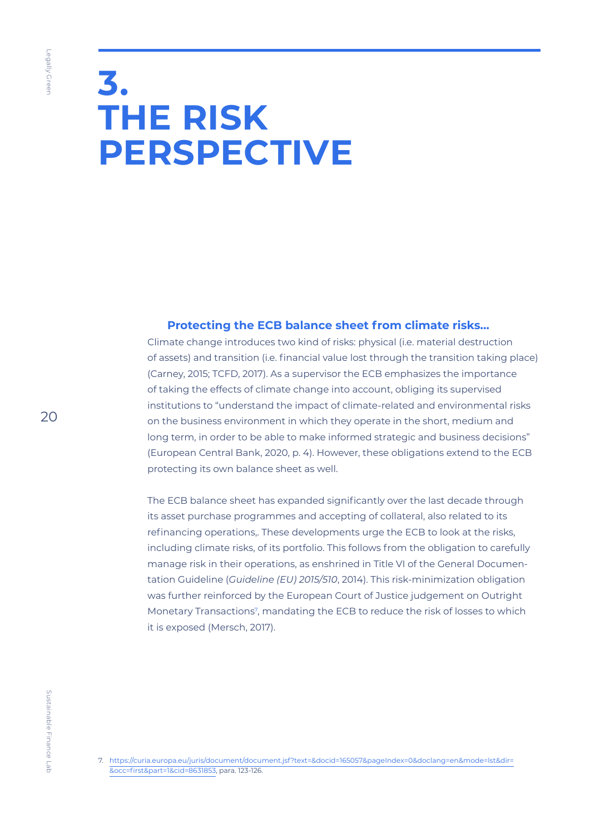### **3. THE RISK PERSPECTIVE**

#### **Protecting the ECB balance sheet from climate risks…**

Climate change introduces two kind of risks: physical (i.e. material destruction of assets) and transition (i.e. financial value lost through the transition taking place) (Carney, 2015; TCFD, 2017). As a supervisor the ECB emphasizes the importance of taking the effects of climate change into account, obliging its supervised institutions to "understand the impact of climate-related and environmental risks on the business environment in which they operate in the short, medium and long term, in order to be able to make informed strategic and business decisions" (European Central Bank, 2020, p. 4). However, these obligations extend to the ECB protecting its own balance sheet as well.

The ECB balance sheet has expanded significantly over the last decade through its asset purchase programmes and accepting of collateral, also related to its refinancing operations,. These developments urge the ECB to look at the risks, including climate risks, of its portfolio. This follows from the obligation to carefully manage risk in their operations, as enshrined in Title VI of the General Documentation Guideline (*Guideline (EU) 2015/510*, 2014). This risk-minimization obligation was further reinforced by the European Court of Justice judgement on Outright Monetary Transactions7 , mandating the ECB to reduce the risk of losses to which it is exposed (Mersch, 2017).

<span id="page-19-0"></span>Legally Green Sustainable Finance Lab Sustainable Finance Lab

<sup>7.</sup> [https://curia.europa.eu/juris/document/document.jsf?text=&docid=165057&pageIndex=0&doclang=en&mode=lst&dir=](https://curia.europa.eu/juris/document/document.jsf?text=&docid=165057&pageIndex=0&doclang=en&mode=lst&dir=&occ=first&part=1&cid=8631853) [&occ=first&part=1&cid=8631853,](https://curia.europa.eu/juris/document/document.jsf?text=&docid=165057&pageIndex=0&doclang=en&mode=lst&dir=&occ=first&part=1&cid=8631853) para. 123-126.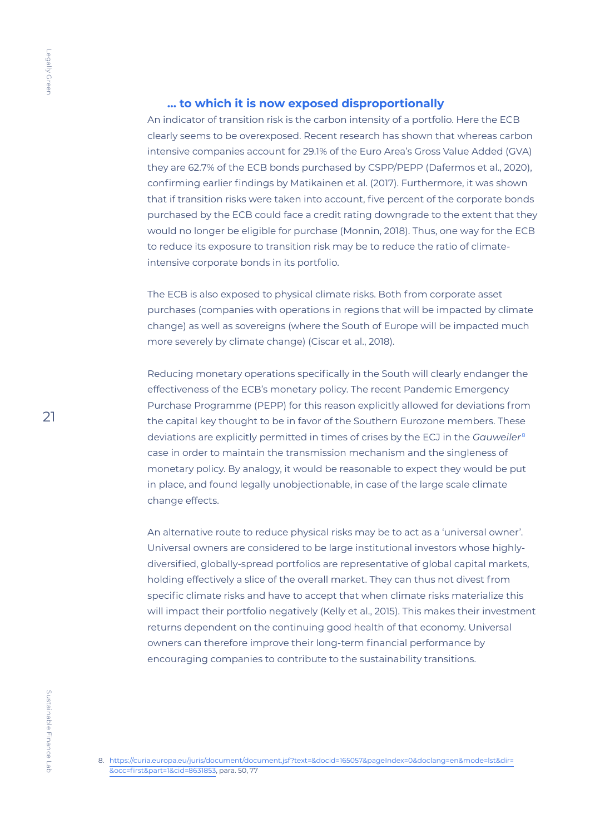#### **… to which it is now exposed disproportionally**

An indicator of transition risk is the carbon intensity of a portfolio. Here the ECB clearly seems to be overexposed. Recent research has shown that whereas carbon intensive companies account for 29.1% of the Euro Area's Gross Value Added (GVA) they are 62.7% of the ECB bonds purchased by CSPP/PEPP (Dafermos et al., 2020), confirming earlier findings by Matikainen et al. (2017). Furthermore, it was shown that if transition risks were taken into account, five percent of the corporate bonds purchased by the ECB could face a credit rating downgrade to the extent that they would no longer be eligible for purchase (Monnin, 2018). Thus, one way for the ECB to reduce its exposure to transition risk may be to reduce the ratio of climateintensive corporate bonds in its portfolio.

The ECB is also exposed to physical climate risks. Both from corporate asset purchases (companies with operations in regions that will be impacted by climate change) as well as sovereigns (where the South of Europe will be impacted much more severely by climate change) (Ciscar et al., 2018).

Reducing monetary operations specifically in the South will clearly endanger the effectiveness of the ECB's monetary policy. The recent Pandemic Emergency Purchase Programme (PEPP) for this reason explicitly allowed for deviations from the capital key thought to be in favor of the Southern Eurozone members. These deviations are explicitly permitted in times of crises by the ECJ in the *Gauweiler*<sup>8</sup> case in order to maintain the transmission mechanism and the singleness of monetary policy. By analogy, it would be reasonable to expect they would be put in place, and found legally unobjectionable, in case of the large scale climate change effects.

An alternative route to reduce physical risks may be to act as a 'universal owner'. Universal owners are considered to be large institutional investors whose highlydiversified, globally-spread portfolios are representative of global capital markets, holding effectively a slice of the overall market. They can thus not divest from specific climate risks and have to accept that when climate risks materialize this will impact their portfolio negatively (Kelly et al., 2015). This makes their investment returns dependent on the continuing good health of that economy. Universal owners can therefore improve their long-term financial performance by encouraging companies to contribute to the sustainability transitions.

<sup>8.</sup> [https://curia.europa.eu/juris/document/document.jsf?text=&docid=165057&pageIndex=0&doclang=en&mode=lst&dir=](https://curia.europa.eu/juris/document/document.jsf?text=&docid=165057&pageIndex=0&doclang=en&mode=lst&dir=&occ=first&part=1&cid=8631853) [&occ=first&part=1&cid=8631853](https://curia.europa.eu/juris/document/document.jsf?text=&docid=165057&pageIndex=0&doclang=en&mode=lst&dir=&occ=first&part=1&cid=8631853), para. 50, 77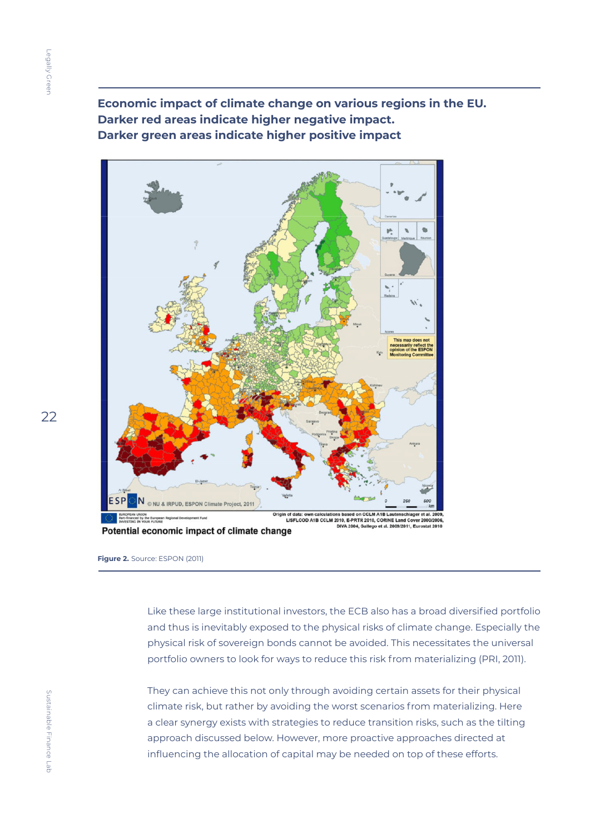**Economic impact of climate change on various regions in the EU. Darker red areas indicate higher negative impact. Darker green areas indicate higher positive impact** 



Potential economic impact of climate change

Like these large institutional investors, the ECB also has a broad diversified portfolio and thus is inevitably exposed to the physical risks of climate change. Especially the physical risk of sovereign bonds cannot be avoided. This necessitates the universal portfolio owners to look for ways to reduce this risk from materializing (PRI, 2011).

They can achieve this not only through avoiding certain assets for their physical climate risk, but rather by avoiding the worst scenarios from materializing. Here a clear synergy exists with strategies to reduce transition risks, such as the tilting approach discussed below. However, more proactive approaches directed at influencing the allocation of capital may be needed on top of these efforts.

**Figure 2.** Source: ESPON (2011)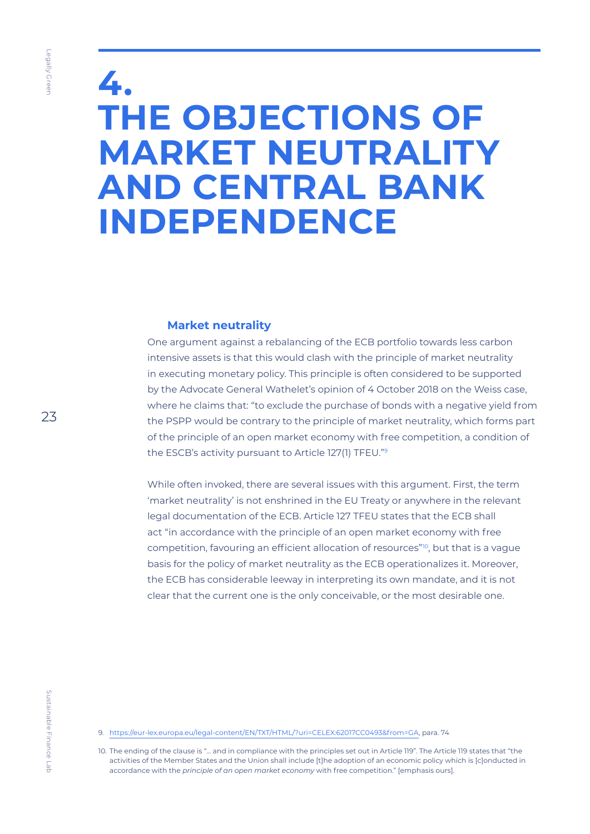### <span id="page-22-0"></span>**4. THE OBJECTIONS OF MARKET NEUTRALITY AND CENTRAL BANK INDEPENDENCE**

#### **Market neutrality**

One argument against a rebalancing of the ECB portfolio towards less carbon intensive assets is that this would clash with the principle of market neutrality in executing monetary policy. This principle is often considered to be supported by the Advocate General Wathelet's opinion of 4 October 2018 on the Weiss case, where he claims that: "to exclude the purchase of bonds with a negative yield from the PSPP would be contrary to the principle of market neutrality, which forms part of the principle of an open market economy with free competition, a condition of the ESCB's activity pursuant to Article 127(1) TFEU."9

While often invoked, there are several issues with this argument. First, the term 'market neutrality' is not enshrined in the EU Treaty or anywhere in the relevant legal documentation of the ECB. Article 127 TFEU states that the ECB shall act "in accordance with the principle of an open market economy with free competition, favouring an efficient allocation of resources"10, but that is a vague basis for the policy of market neutrality as the ECB operationalizes it. Moreover, the ECB has considerable leeway in interpreting its own mandate, and it is not clear that the current one is the only conceivable, or the most desirable one.

10. The ending of the clause is "… and in compliance with the principles set out in Article 119". The Article 119 states that "the activities of the Member States and the Union shall include [t]he adoption of an economic policy which is [c]onducted in accordance with the *principle of an open market economy* with free competition." [emphasis ours].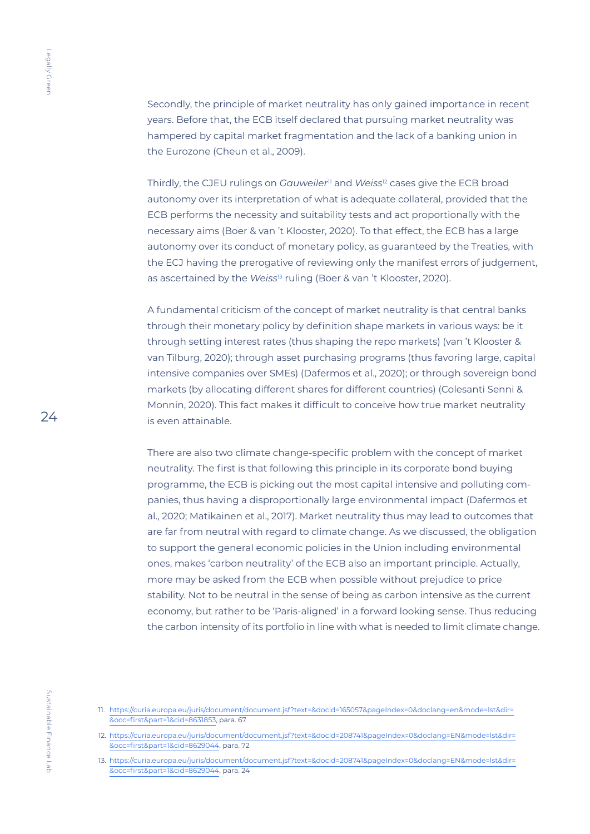Secondly, the principle of market neutrality has only gained importance in recent years. Before that, the ECB itself declared that pursuing market neutrality was hampered by capital market fragmentation and the lack of a banking union in the Eurozone (Cheun et al., 2009).

Thirdly, the CJEU rulings on *Gauweiler*11 and *Weiss*12 cases give the ECB broad autonomy over its interpretation of what is adequate collateral, provided that the ECB performs the necessity and suitability tests and act proportionally with the necessary aims (Boer & van 't Klooster, 2020). To that effect, the ECB has a large autonomy over its conduct of monetary policy, as guaranteed by the Treaties, with the ECJ having the prerogative of reviewing only the manifest errors of judgement, as ascertained by the *Weiss*13 ruling (Boer & van 't Klooster, 2020).

A fundamental criticism of the concept of market neutrality is that central banks through their monetary policy by definition shape markets in various ways: be it through setting interest rates (thus shaping the repo markets) (van 't Klooster & van Tilburg, 2020); through asset purchasing programs (thus favoring large, capital intensive companies over SMEs) (Dafermos et al., 2020); or through sovereign bond markets (by allocating different shares for different countries) (Colesanti Senni & Monnin, 2020). This fact makes it difficult to conceive how true market neutrality is even attainable.

There are also two climate change-specific problem with the concept of market neutrality. The first is that following this principle in its corporate bond buying programme, the ECB is picking out the most capital intensive and polluting companies, thus having a disproportionally large environmental impact (Dafermos et al., 2020; Matikainen et al., 2017). Market neutrality thus may lead to outcomes that are far from neutral with regard to climate change. As we discussed, the obligation to support the general economic policies in the Union including environmental ones, makes 'carbon neutrality' of the ECB also an important principle. Actually, more may be asked from the ECB when possible without prejudice to price stability. Not to be neutral in the sense of being as carbon intensive as the current economy, but rather to be 'Paris-aligned' in a forward looking sense. Thus reducing the carbon intensity of its portfolio in line with what is needed to limit climate change.

<sup>11.</sup> [https://curia.europa.eu/juris/document/document.jsf?text=&docid=165057&pageIndex=0&doclang=en&mode=lst&dir=](https://curia.europa.eu/juris/document/document.jsf?text=&docid=165057&pageIndex=0&doclang=en&mode=lst&dir=&occ=first&part=1&cid=8631853) [&occ=first&part=1&cid=8631853](https://curia.europa.eu/juris/document/document.jsf?text=&docid=165057&pageIndex=0&doclang=en&mode=lst&dir=&occ=first&part=1&cid=8631853), para. 67

<sup>12.</sup> [https://curia.europa.eu/juris/document/document.jsf?text=&docid=208741&pageIndex=0&doclang=EN&mode=lst&dir=](https://curia.europa.eu/juris/document/document.jsf?text=&docid=208741&pageIndex=0&doclang=EN&mode=lst&dir=&occ=first&part=1&cid=8629044) [&occ=first&part=1&cid=8629044](https://curia.europa.eu/juris/document/document.jsf?text=&docid=208741&pageIndex=0&doclang=EN&mode=lst&dir=&occ=first&part=1&cid=8629044), para. 72

<sup>13.</sup> [https://curia.europa.eu/juris/document/document.jsf?text=&docid=208741&pageIndex=0&doclang=EN&mode=lst&dir=](https://curia.europa.eu/juris/document/document.jsf?text=&docid=208741&pageIndex=0&doclang=EN&mode=lst&dir=&occ=first&part=1&cid=8629044) [&occ=first&part=1&cid=8629044](https://curia.europa.eu/juris/document/document.jsf?text=&docid=208741&pageIndex=0&doclang=EN&mode=lst&dir=&occ=first&part=1&cid=8629044), para. 24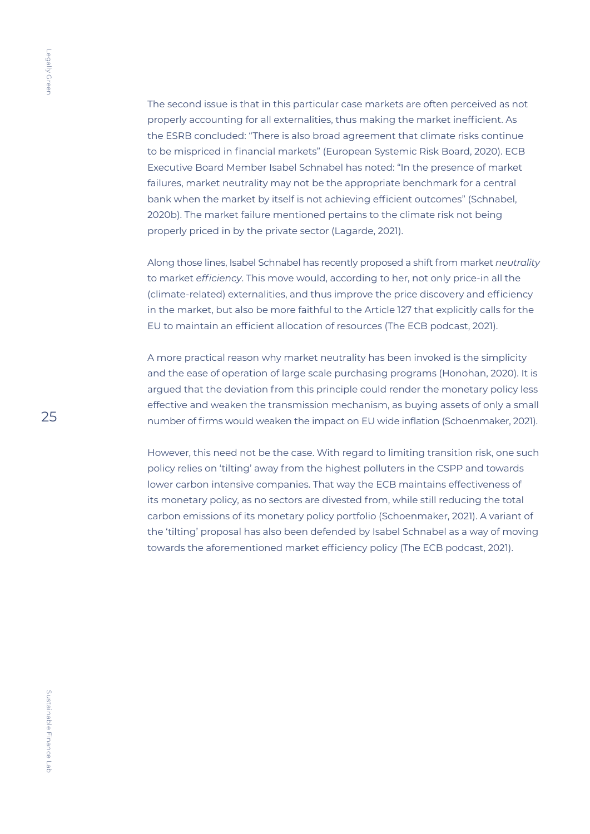The second issue is that in this particular case markets are often perceived as not properly accounting for all externalities, thus making the market inefficient. As the ESRB concluded: "There is also broad agreement that climate risks continue to be mispriced in financial markets" (European Systemic Risk Board, 2020). ECB Executive Board Member Isabel Schnabel has noted: "In the presence of market failures, market neutrality may not be the appropriate benchmark for a central bank when the market by itself is not achieving efficient outcomes" (Schnabel, 2020b). The market failure mentioned pertains to the climate risk not being properly priced in by the private sector (Lagarde, 2021).

Along those lines, Isabel Schnabel has recently proposed a shift from market *neutrality* to market *efficiency*. This move would, according to her, not only price-in all the (climate-related) externalities, and thus improve the price discovery and efficiency in the market, but also be more faithful to the Article 127 that explicitly calls for the EU to maintain an efficient allocation of resources (The ECB podcast, 2021).

A more practical reason why market neutrality has been invoked is the simplicity and the ease of operation of large scale purchasing programs (Honohan, 2020). It is argued that the deviation from this principle could render the monetary policy less effective and weaken the transmission mechanism, as buying assets of only a small number of firms would weaken the impact on EU wide inflation (Schoenmaker, 2021).

However, this need not be the case. With regard to limiting transition risk, one such policy relies on 'tilting' away from the highest polluters in the CSPP and towards lower carbon intensive companies. That way the ECB maintains effectiveness of its monetary policy, as no sectors are divested from, while still reducing the total carbon emissions of its monetary policy portfolio (Schoenmaker, 2021). A variant of the 'tilting' proposal has also been defended by Isabel Schnabel as a way of moving towards the aforementioned market efficiency policy (The ECB podcast, 2021).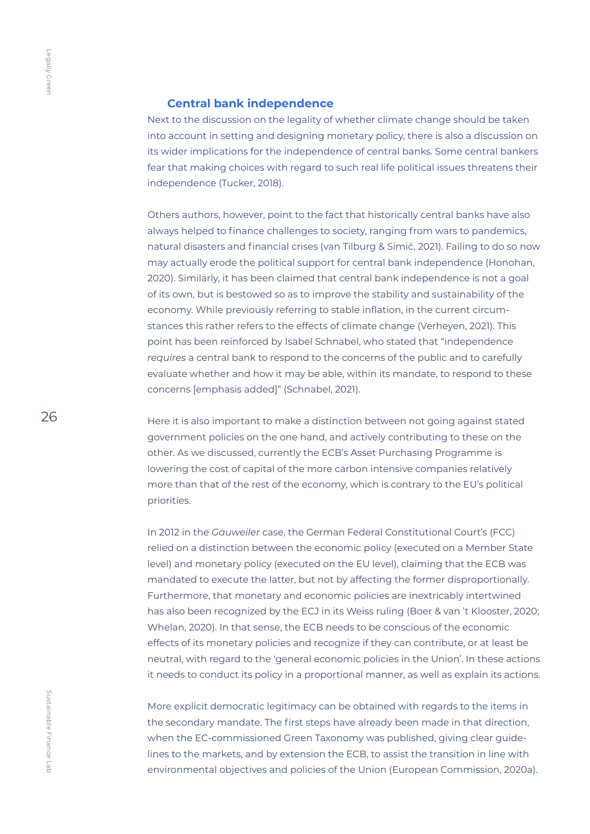#### **Central bank independence**

Next to the discussion on the legality of whether climate change should be taken into account in setting and designing monetary policy, there is also a discussion on its wider implications for the independence of central banks. Some central bankers fear that making choices with regard to such real life political issues threatens their independence (Tucker, 2018).

Others authors, however, point to the fact that historically central banks have also always helped to finance challenges to society, ranging from wars to pandemics, natural disasters and financial crises (van Tilburg & Simić, 2021). Failing to do so now may actually erode the political support for central bank independence (Honohan, 2020). Similarly, it has been claimed that central bank independence is not a goal of its own, but is bestowed so as to improve the stability and sustainability of the economy. While previously referring to stable inflation, in the current circumstances this rather refers to the effects of climate change (Verheyen, 2021). This point has been reinforced by Isabel Schnabel, who stated that "independence *requires* a central bank to respond to the concerns of the public and to carefully evaluate whether and how it may be able, within its mandate, to respond to these concerns [emphasis added]" (Schnabel, 2021).

Here it is also important to make a distinction between not going against stated government policies on the one hand, and actively contributing to these on the other. As we discussed, currently the ECB's Asset Purchasing Programme is lowering the cost of capital of the more carbon intensive companies relatively more than that of the rest of the economy, which is contrary to the EU's political priorities.

In 2012 in the *Gauweiler* case, the German Federal Constitutional Court's (FCC) relied on a distinction between the economic policy (executed on a Member State level) and monetary policy (executed on the EU level), claiming that the ECB was mandated to execute the latter, but not by affecting the former disproportionally. Furthermore, that monetary and economic policies are inextricably intertwined has also been recognized by the ECJ in its Weiss ruling (Boer & van 't Klooster, 2020; Whelan, 2020). In that sense, the ECB needs to be conscious of the economic effects of its monetary policies and recognize if they can contribute, or at least be neutral, with regard to the 'general economic policies in the Union'. In these actions it needs to conduct its policy in a proportional manner, as well as explain its actions.

More explicit democratic legitimacy can be obtained with regards to the items in the secondary mandate. The first steps have already been made in that direction, when the EC-commissioned Green Taxonomy was published, giving clear guidelines to the markets, and by extension the ECB, to assist the transition in line with environmental objectives and policies of the Union (European Commission, 2020a).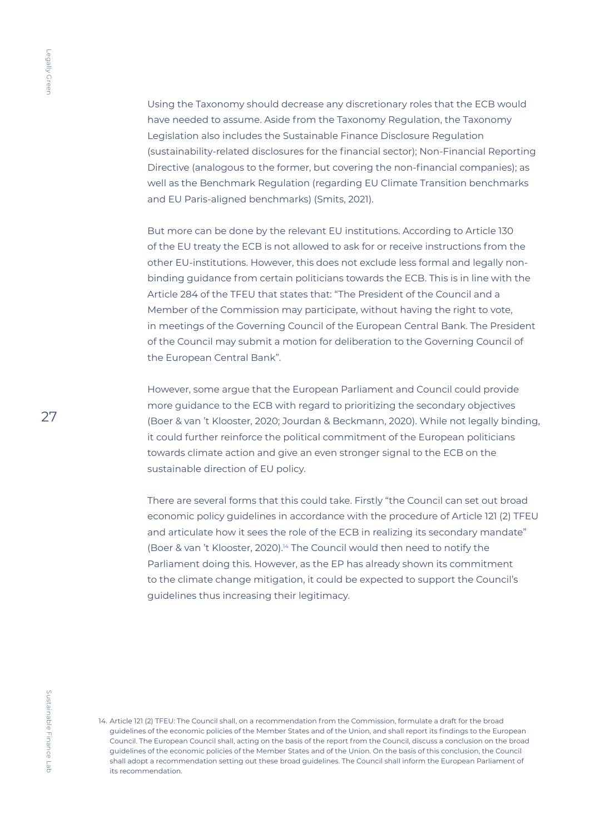Using the Taxonomy should decrease any discretionary roles that the ECB would have needed to assume. Aside from the Taxonomy Regulation, the Taxonomy Legislation also includes the Sustainable Finance Disclosure Regulation (sustainability-related disclosures for the financial sector); Non-Financial Reporting Directive (analogous to the former, but covering the non-financial companies); as well as the Benchmark Regulation (regarding EU Climate Transition benchmarks and EU Paris-aligned benchmarks) (Smits, 2021).

But more can be done by the relevant EU institutions. According to Article 130 of the EU treaty the ECB is not allowed to ask for or receive instructions from the other EU-institutions. However, this does not exclude less formal and legally nonbinding guidance from certain politicians towards the ECB. This is in line with the Article 284 of the TFEU that states that: "The President of the Council and a Member of the Commission may participate, without having the right to vote, in meetings of the Governing Council of the European Central Bank. The President of the Council may submit a motion for deliberation to the Governing Council of the European Central Bank".

However, some argue that the European Parliament and Council could provide more guidance to the ECB with regard to prioritizing the secondary objectives (Boer & van 't Klooster, 2020; Jourdan & Beckmann, 2020). While not legally binding, it could further reinforce the political commitment of the European politicians towards climate action and give an even stronger signal to the ECB on the sustainable direction of EU policy.

There are several forms that this could take. Firstly "the Council can set out broad economic policy guidelines in accordance with the procedure of Article 121 (2) TFEU and articulate how it sees the role of the ECB in realizing its secondary mandate" (Boer & van 't Klooster, 2020).14 The Council would then need to notify the Parliament doing this. However, as the EP has already shown its commitment to the climate change mitigation, it could be expected to support the Council's guidelines thus increasing their legitimacy.

<sup>14.</sup> Article 121 (2) TFEU: The Council shall, on a recommendation from the Commission, formulate a draft for the broad guidelines of the economic policies of the Member States and of the Union, and shall report its findings to the European Council. The European Council shall, acting on the basis of the report from the Council, discuss a conclusion on the broad guidelines of the economic policies of the Member States and of the Union. On the basis of this conclusion, the Council shall adopt a recommendation setting out these broad guidelines. The Council shall inform the European Parliament of its recommendation.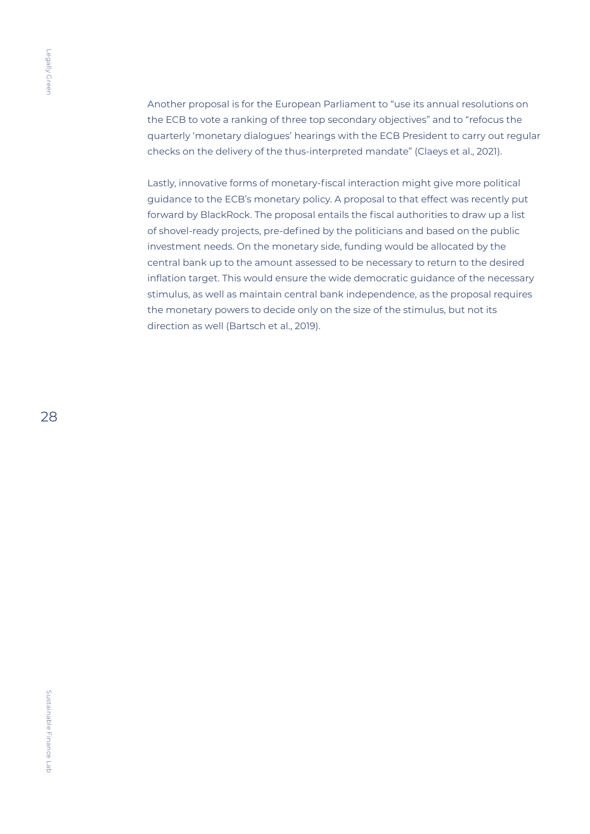Another proposal is for the European Parliament to "use its annual resolutions on the ECB to vote a ranking of three top secondary objectives" and to "refocus the quarterly 'monetary dialogues' hearings with the ECB President to carry out regular checks on the delivery of the thus-interpreted mandate" (Claeys et al., 2021).

Lastly, innovative forms of monetary-fiscal interaction might give more political guidance to the ECB's monetary policy. A proposal to that effect was recently put forward by BlackRock. The proposal entails the fiscal authorities to draw up a list of shovel-ready projects, pre-defined by the politicians and based on the public investment needs. On the monetary side, funding would be allocated by the central bank up to the amount assessed to be necessary to return to the desired inflation target. This would ensure the wide democratic guidance of the necessary stimulus, as well as maintain central bank independence, as the proposal requires the monetary powers to decide only on the size of the stimulus, but not its direction as well (Bartsch et al., 2019).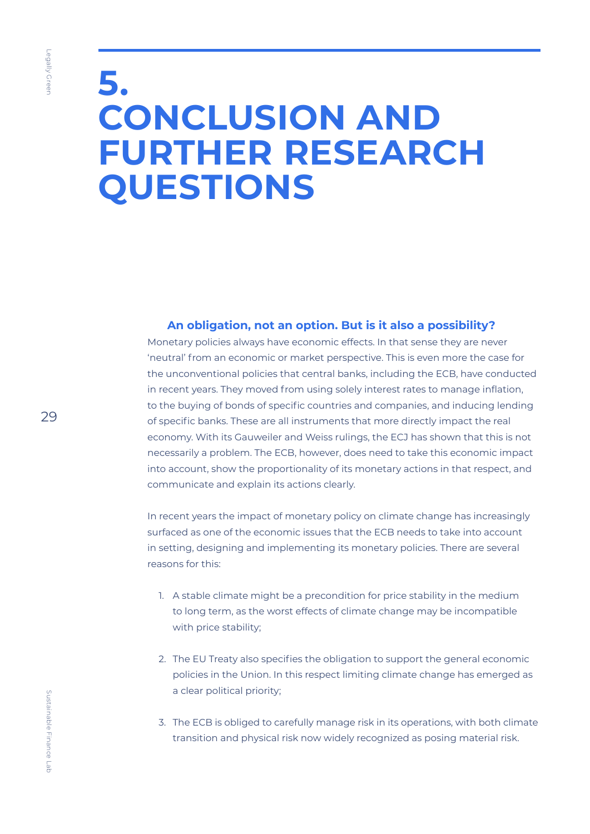# <span id="page-28-0"></span>Legally Green

### **5. CONCLUSION AND FURTHER RESEARCH QUESTIONS**

#### **An obligation, not an option. But is it also a possibility?**

Monetary policies always have economic effects. In that sense they are never 'neutral' from an economic or market perspective. This is even more the case for the unconventional policies that central banks, including the ECB, have conducted in recent years. They moved from using solely interest rates to manage inflation, to the buying of bonds of specific countries and companies, and inducing lending of specific banks. These are all instruments that more directly impact the real economy. With its Gauweiler and Weiss rulings, the ECJ has shown that this is not necessarily a problem. The ECB, however, does need to take this economic impact into account, show the proportionality of its monetary actions in that respect, and communicate and explain its actions clearly.

In recent years the impact of monetary policy on climate change has increasingly surfaced as one of the economic issues that the ECB needs to take into account in setting, designing and implementing its monetary policies. There are several reasons for this:

- 1. A stable climate might be a precondition for price stability in the medium to long term, as the worst effects of climate change may be incompatible with price stability;
- 2. The EU Treaty also specifies the obligation to support the general economic policies in the Union. In this respect limiting climate change has emerged as a clear political priority;
- 3. The ECB is obliged to carefully manage risk in its operations, with both climate transition and physical risk now widely recognized as posing material risk.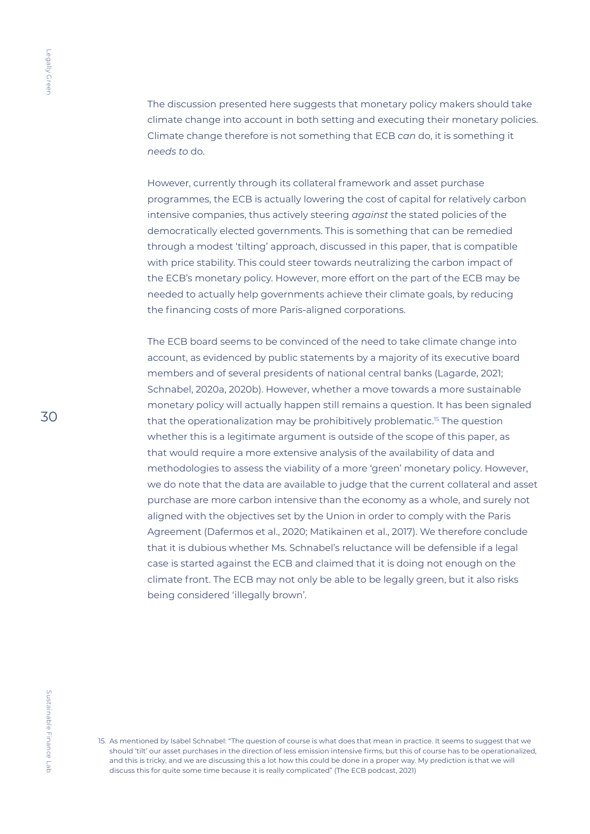The discussion presented here suggests that monetary policy makers should take climate change into account in both setting and executing their monetary policies. Climate change therefore is not something that ECB *can* do, it is something it *needs to* do.

However, currently through its collateral framework and asset purchase programmes, the ECB is actually lowering the cost of capital for relatively carbon intensive companies, thus actively steering *against* the stated policies of the democratically elected governments. This is something that can be remedied through a modest 'tilting' approach, discussed in this paper, that is compatible with price stability. This could steer towards neutralizing the carbon impact of the ECB's monetary policy. However, more effort on the part of the ECB may be needed to actually help governments achieve their climate goals, by reducing the financing costs of more Paris-aligned corporations.

The ECB board seems to be convinced of the need to take climate change into account, as evidenced by public statements by a majority of its executive board members and of several presidents of national central banks (Lagarde, 2021; Schnabel, 2020a, 2020b). However, whether a move towards a more sustainable monetary policy will actually happen still remains a question. It has been signaled that the operationalization may be prohibitively problematic.<sup>15</sup> The question whether this is a legitimate argument is outside of the scope of this paper, as that would require a more extensive analysis of the availability of data and methodologies to assess the viability of a more 'green' monetary policy. However, we do note that the data are available to judge that the current collateral and asset purchase are more carbon intensive than the economy as a whole, and surely not aligned with the objectives set by the Union in order to comply with the Paris Agreement (Dafermos et al., 2020; Matikainen et al., 2017). We therefore conclude that it is dubious whether Ms. Schnabel's reluctance will be defensible if a legal case is started against the ECB and claimed that it is doing not enough on the climate front. The ECB may not only be able to be legally green, but it also risks being considered 'illegally brown'.

15. As mentioned by Isabel Schnabel: "The question of course is what does that mean in practice. It seems to suggest that we should 'tilt' our asset purchases in the direction of less emission intensive firms, but this of course has to be operationalized, and this is tricky, and we are discussing this a lot how this could be done in a proper way. My prediction is that we will discuss this for quite some time because it is really complicated" (The ECB podcast, 2021)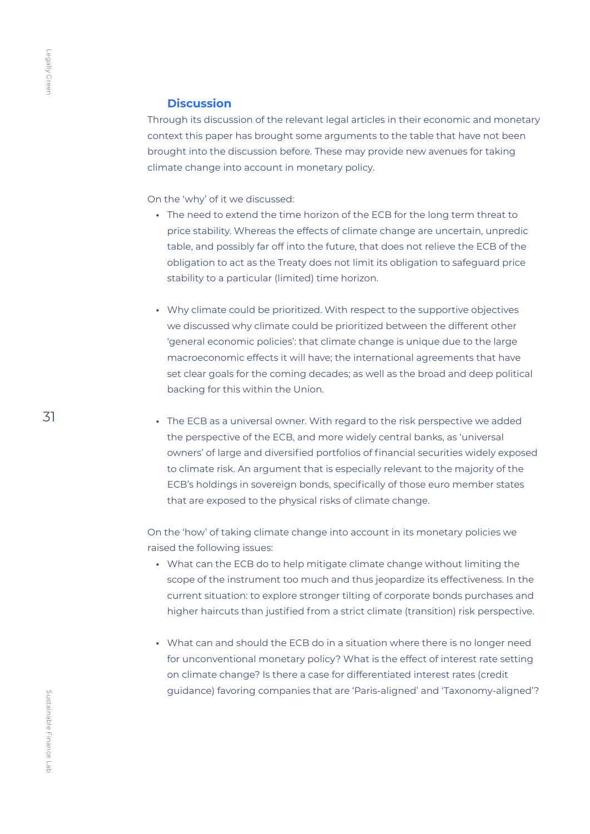#### **Discussion**

Through its discussion of the relevant legal articles in their economic and monetary context this paper has brought some arguments to the table that have not been brought into the discussion before. These may provide new avenues for taking climate change into account in monetary policy.

On the 'why' of it we discussed:

- **•** The need to extend the time horizon of the ECB for the long term threat to price stability. Whereas the effects of climate change are uncertain, unpredic table, and possibly far off into the future, that does not relieve the ECB of the obligation to act as the Treaty does not limit its obligation to safeguard price stability to a particular (limited) time horizon.
- **•** Why climate could be prioritized. With respect to the supportive objectives we discussed why climate could be prioritized between the different other 'general economic policies': that climate change is unique due to the large macroeconomic effects it will have; the international agreements that have set clear goals for the coming decades; as well as the broad and deep political backing for this within the Union.
- **•** The ECB as a universal owner. With regard to the risk perspective we added the perspective of the ECB, and more widely central banks, as 'universal owners' of large and diversified portfolios of financial securities widely exposed to climate risk. An argument that is especially relevant to the majority of the ECB's holdings in sovereign bonds, specifically of those euro member states that are exposed to the physical risks of climate change.

On the 'how' of taking climate change into account in its monetary policies we raised the following issues:

- **•** What can the ECB do to help mitigate climate change without limiting the scope of the instrument too much and thus jeopardize its effectiveness. In the current situation: to explore stronger tilting of corporate bonds purchases and higher haircuts than justified from a strict climate (transition) risk perspective.
- **•** What can and should the ECB do in a situation where there is no longer need for unconventional monetary policy? What is the effect of interest rate setting on climate change? Is there a case for differentiated interest rates (credit guidance) favoring companies that are 'Paris-aligned' and 'Taxonomy-aligned'?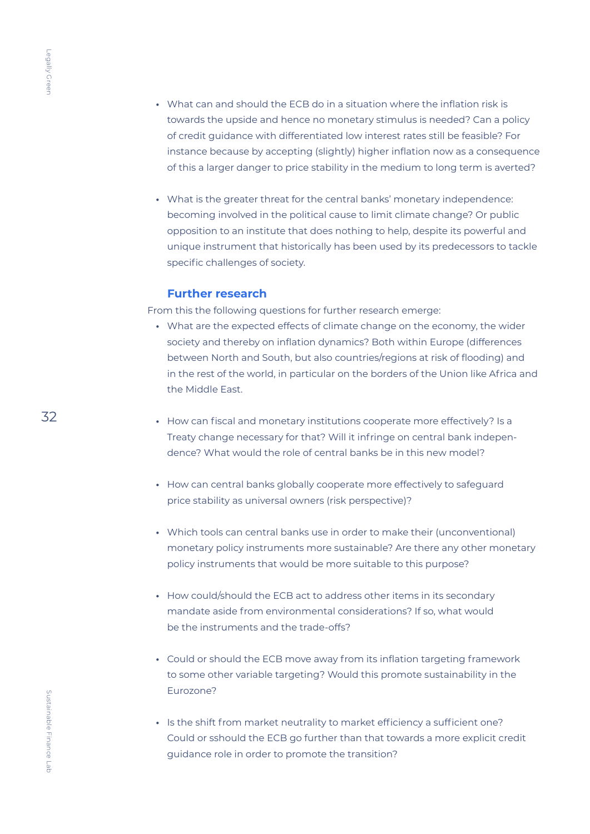- **•** What can and should the ECB do in a situation where the inflation risk is towards the upside and hence no monetary stimulus is needed? Can a policy of credit guidance with differentiated low interest rates still be feasible? For instance because by accepting (slightly) higher inflation now as a consequence of this a larger danger to price stability in the medium to long term is averted?
- **•** What is the greater threat for the central banks' monetary independence: becoming involved in the political cause to limit climate change? Or public opposition to an institute that does nothing to help, despite its powerful and unique instrument that historically has been used by its predecessors to tackle specific challenges of society.

#### **Further research**

From this the following questions for further research emerge:

- **•** What are the expected effects of climate change on the economy, the wider society and thereby on inflation dynamics? Both within Europe (differences between North and South, but also countries/regions at risk of flooding) and in the rest of the world, in particular on the borders of the Union like Africa and the Middle East.
- **•** How can fiscal and monetary institutions cooperate more effectively? Is a Treaty change necessary for that? Will it infringe on central bank independence? What would the role of central banks be in this new model?
- **•** How can central banks globally cooperate more effectively to safeguard price stability as universal owners (risk perspective)?
- **•** Which tools can central banks use in order to make their (unconventional) monetary policy instruments more sustainable? Are there any other monetary policy instruments that would be more suitable to this purpose?
- **•** How could/should the ECB act to address other items in its secondary mandate aside from environmental considerations? If so, what would be the instruments and the trade-offs?
- **•** Could or should the ECB move away from its inflation targeting framework to some other variable targeting? Would this promote sustainability in the Eurozone?
- **•** Is the shift from market neutrality to market efficiency a sufficient one? Could or sshould the ECB go further than that towards a more explicit credit guidance role in order to promote the transition?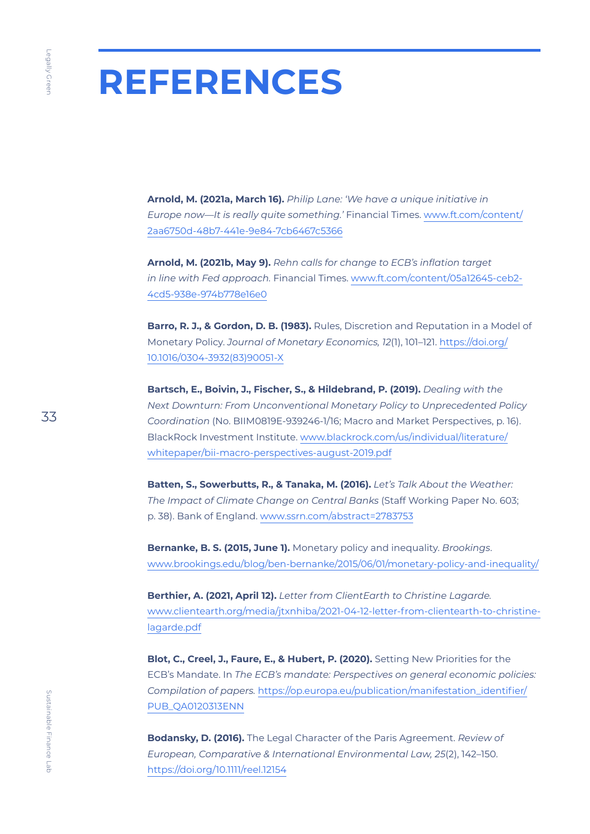### <span id="page-32-0"></span>**REFERENCES**

**Arnold, M. (2021a, March 16).** *Philip Lane: 'We have a unique initiative in Europe now—It is really quite something.'* Financial Times. [www.ft.com/content/](https://www.ft.com/content/2aa6750d-48b7-441e-9e84-7cb6467c5366) [2aa6750d-48b7-441e-9e84-7cb6467c5366](https://www.ft.com/content/2aa6750d-48b7-441e-9e84-7cb6467c5366)

**Arnold, M. (2021b, May 9).** *Rehn calls for change to ECB's inflation target in line with Fed approach.* Financial Times. [www.ft.com/content/05a12645-ceb2-](https://www.ft.com/content/05a12645-ceb2-4cd5-938e-974b778e16e0) [4cd5-938e-974b778e16e0](https://www.ft.com/content/05a12645-ceb2-4cd5-938e-974b778e16e0)

**Barro, R. J., & Gordon, D. B. (1983).** Rules, Discretion and Reputation in a Model of Monetary Policy. *Journal of Monetary Economics, 12*(1), 101–121. [https://doi.org/](https://doi.org/10.1016/0304-3932(83)90051-X) [10.1016/0304-3932\(83\)90051-X](https://doi.org/10.1016/0304-3932(83)90051-X)

**Bartsch, E., Boivin, J., Fischer, S., & Hildebrand, P. (2019).** *Dealing with the Next Downturn: From Unconventional Monetary Policy to Unprecedented Policy Coordination* (No. BIIM0819E-939246-1/16; Macro and Market Perspectives, p. 16). BlackRock Investment Institute. [www.blackrock.com/us/individual/literature/](https://www.blackrock.com/us/individual/literature/whitepaper/bii-macro-perspectives-august-2019.pdf) [whitepaper/bii-macro-perspectives-august-2019.pdf](https://www.blackrock.com/us/individual/literature/whitepaper/bii-macro-perspectives-august-2019.pdf)

**Batten, S., Sowerbutts, R., & Tanaka, M. (2016).** *Let's Talk About the Weather: The Impact of Climate Change on Central Banks* (Staff Working Paper No. 603; p. 38). Bank of England. www.ssrn.com/abstract=2783753

**Bernanke, B. S. (2015, June 1).** Monetary policy and inequality. *Brookings*. [www.brookings.edu/blog/ben-bernanke/2015/06/01/monetary-policy-and-inequality/](https://www.brookings.edu/blog/ben-bernanke/2015/06/01/monetary-policy-and-inequality/)

**Berthier, A. (2021, April 12).** *Letter from ClientEarth to Christine Lagarde.* [www.clientearth.org/media/jtxnhiba/2021-04-12-letter-from-clientearth-to-christine](https://www.clientearth.org/media/jtxnhiba/2021-04-12-letter-from-clientearth-to-christine-lagarde.pdf)[lagarde.pdf](https://www.clientearth.org/media/jtxnhiba/2021-04-12-letter-from-clientearth-to-christine-lagarde.pdf)

**Blot, C., Creel, J., Faure, E., & Hubert, P. (2020).** Setting New Priorities for the ECB's Mandate. In *The ECB's mandate: Perspectives on general economic policies: Compilation of papers.* [https://op.europa.eu/publication/manifestation\\_identifier/](https://op.europa.eu/publication/manifestation_identifier/PUB_QA0120313ENN) [PUB\\_QA0120313ENN](https://op.europa.eu/publication/manifestation_identifier/PUB_QA0120313ENN)

**Bodansky, D. (2016).** The Legal Character of the Paris Agreement. *Review of European, Comparative & International Environmental Law, 25*(2), 142–150. <https://doi.org/10.1111/reel.12154>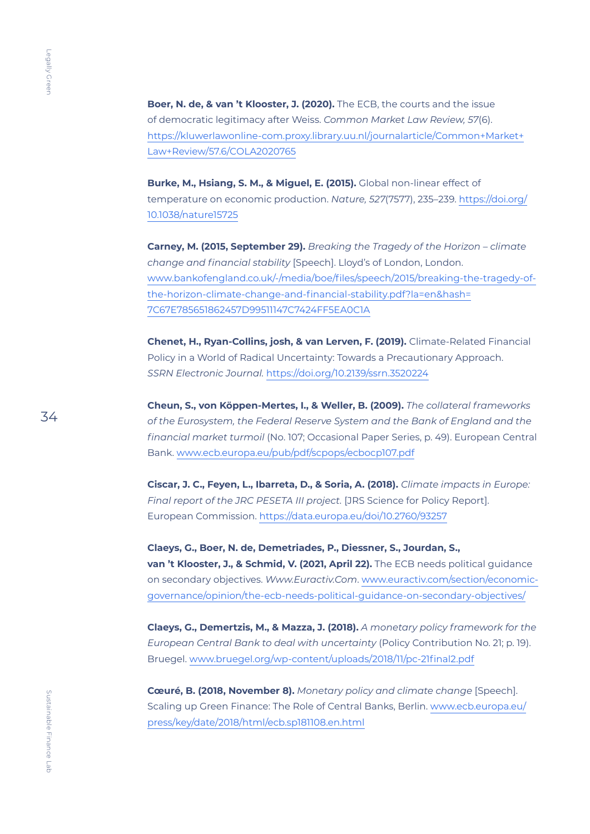**Boer, N. de, & van 't Klooster, J. (2020).** The ECB, the courts and the issue of democratic legitimacy after Weiss. *Common Market Law Review, 57*(6). [https://kluwerlawonline-com.proxy.library.uu.nl/journalarticle/Common+Market+](https://kluwerlawonline-com.proxy.library.uu.nl/journalarticle/Common+Market+Law+Review/57.6/COLA2020765) [Law+Review/57.6/COLA2020765](https://kluwerlawonline-com.proxy.library.uu.nl/journalarticle/Common+Market+Law+Review/57.6/COLA2020765)

**Burke, M., Hsiang, S. M., & Miguel, E. (2015).** Global non-linear effect of temperature on economic production. *Nature, 527*(7577), 235–239. https://doi.org/ 10.1038/nature15725

**Carney, M. (2015, September 29).** *Breaking the Tragedy of the Horizon – climate change and financial stability* [Speech]. Lloyd's of London, London. [www.bankofengland.co.uk/-/media/boe/files/speech/2015/breaking-the-tragedy-of](https://www.bankofengland.co.uk/-/media/boe/files/speech/2015/breaking-the-tragedy-of-the-horizon-climate-change-and-financial-stability.pdf?la=en&hash=7C67E785651862457D99511147C7424FF5EA0C1A)[the-horizon-climate-change-and-financial-stability.pdf?la=en&hash=](https://www.bankofengland.co.uk/-/media/boe/files/speech/2015/breaking-the-tragedy-of-the-horizon-climate-change-and-financial-stability.pdf?la=en&hash=7C67E785651862457D99511147C7424FF5EA0C1A) [7C67E785651862457D99511147C7424FF5EA0C1A](https://www.bankofengland.co.uk/-/media/boe/files/speech/2015/breaking-the-tragedy-of-the-horizon-climate-change-and-financial-stability.pdf?la=en&hash=7C67E785651862457D99511147C7424FF5EA0C1A)

**Chenet, H., Ryan-Collins, josh, & van Lerven, F. (2019).** Climate-Related Financial Policy in a World of Radical Uncertainty: Towards a Precautionary Approach. *SSRN Electronic Journal.* <https://doi.org/10.2139/ssrn.3520224>

**Cheun, S., von Köppen-Mertes, I., & Weller, B. (2009).** *The collateral frameworks of the Eurosystem, the Federal Reserve System and the Bank of England and the financial market turmoil* (No. 107; Occasional Paper Series, p. 49). European Central Bank. www.ecb.europa.eu/pub/pdf/scpops/ecbocp107.pdf

**Ciscar, J. C., Feyen, L., Ibarreta, D., & Soria, A. (2018).** *Climate impacts in Europe: Final report of the JRC PESETA III project.* [JRS Science for Policy Report]. European Commission. <https://data.europa.eu/doi/10.2760/93257>

**Claeys, G., Boer, N. de, Demetriades, P., Diessner, S., Jourdan, S., van 't Klooster, J., & Schmid, V. (2021, April 22).** The ECB needs political guidance on secondary objectives. *Www.Euractiv.Com*. [www.euractiv.com/section/economic](https://www.euractiv.com/section/economic-governance/opinion/the-ecb-needs-political-guidance-on-secondary-objectives/)[governance/opinion/the-ecb-needs-political-guidance-on-secondary-objectives/](https://www.euractiv.com/section/economic-governance/opinion/the-ecb-needs-political-guidance-on-secondary-objectives/)

**Claeys, G., Demertzis, M., & Mazza, J. (2018).** *A monetary policy framework for the European Central Bank to deal with uncertainty* (Policy Contribution No. 21; p. 19). Bruegel. [www.bruegel.org/wp-content/uploads/2018/11/pc-21final2.pdf](https://www.bruegel.org/wp-content/uploads/2018/11/pc-21final2.pdf)

**Cœuré, B. (2018, November 8).** *Monetary policy and climate change* [Speech]. Scaling up Green Finance: The Role of Central Banks, Berlin. [www.ecb.europa.eu/](https://www.ecb.europa.eu/press/key/date/2018/html/ecb.sp181108.en.html) [press/key/date/2018/html/ecb.sp181108.en.html](https://www.ecb.europa.eu/press/key/date/2018/html/ecb.sp181108.en.html)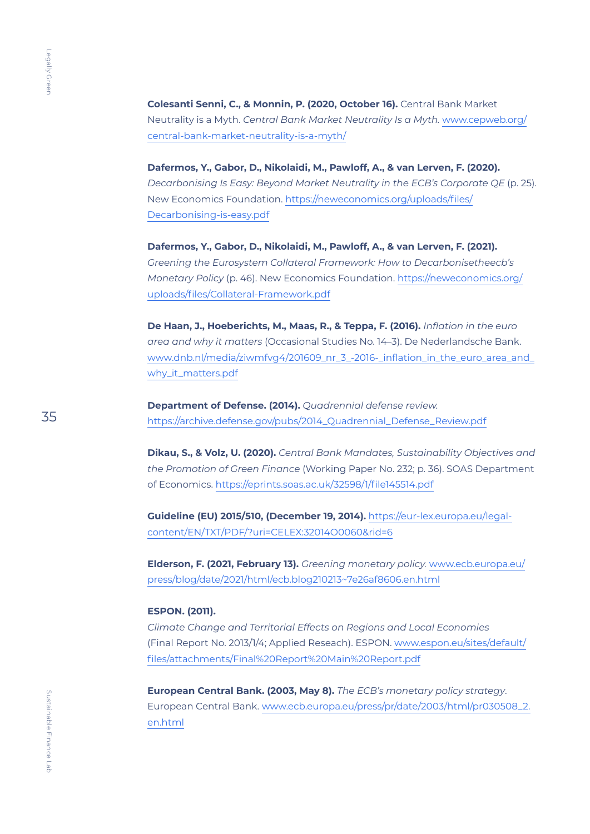**Colesanti Senni, C., & Monnin, P. (2020, October 16).** Central Bank Market Neutrality is a Myth. *Central Bank Market Neutrality Is a Myth.* [www.cepweb.org/](https://www.cepweb.org/central-bank-market-neutrality-is-a-myth/) [central-bank-market-neutrality-is-a-myth/](https://www.cepweb.org/central-bank-market-neutrality-is-a-myth/)

**Dafermos, Y., Gabor, D., Nikolaidi, M., Pawloff, A., & van Lerven, F. (2020).** *Decarbonising Is Easy: Beyond Market Neutrality in the ECB's Corporate QE* (p. 25). New Economics Foundation. [https://neweconomics.org/uploads/files/](https://neweconomics.org/uploads/files/Decarbonising-is-easy.pdf) [Decarbonising-is-easy.pdf](https://neweconomics.org/uploads/files/Decarbonising-is-easy.pdf)

**Dafermos, Y., Gabor, D., Nikolaidi, M., Pawloff, A., & van Lerven, F. (2021).** *Greening the Eurosystem Collateral Framework: How to Decarbonisetheecb's Monetary Policy* (p. 46). New Economics Foundation. [https://neweconomics.org/](https://neweconomics.org/uploads/files/Collateral-Framework.pdf) [uploads/files/Collateral-Framework.pdf](https://neweconomics.org/uploads/files/Collateral-Framework.pdf)

**De Haan, J., Hoeberichts, M., Maas, R., & Teppa, F. (2016).** *Inflation in the euro area and why it matters* (Occasional Studies No. 14–3). De Nederlandsche Bank. [www.dnb.nl/media/ziwmfvg4/201609\\_nr\\_3\\_-2016-\\_inflation\\_in\\_the\\_euro\\_area\\_and\\_](https://www.dnb.nl/media/ziwmfvg4/201609_nr_3_-2016-_inflation_in_the_euro_area_and_why_it_matters.pdf) [why\\_it\\_matters.pdf](https://www.dnb.nl/media/ziwmfvg4/201609_nr_3_-2016-_inflation_in_the_euro_area_and_why_it_matters.pdf)

**Department of Defense. (2014).** *Quadrennial defense review.* [https://archive.defense.gov/pubs/2014\\_Quadrennial\\_Defense\\_Review.pdf](https://archive.defense.gov/pubs/2014_Quadrennial_Defense_Review.pdf)

**Dikau, S., & Volz, U. (2020).** *Central Bank Mandates, Sustainability Objectives and the Promotion of Green Finance* (Working Paper No. 232; p. 36). SOAS Department of Economics. <https://eprints.soas.ac.uk/32598/1/file145514.pdf>

**Guideline (EU) 2015/510, (December 19, 2014).** [https://eur-lex.europa.eu/legal](https://eur-lex.europa.eu/legal-content/EN/TXT/PDF/?uri=CELEX:32014O0060&rid=6)[content/EN/TXT/PDF/?uri=CELEX:32014O0060&rid=6](https://eur-lex.europa.eu/legal-content/EN/TXT/PDF/?uri=CELEX:32014O0060&rid=6)

**Elderson, F. (2021, February 13).** *Greening monetary policy.* [www.ecb.europa.eu/](https://www.ecb.europa.eu/press/blog/date/2021/html/ecb.blog210213~7e26af8606.en.html) [press/blog/date/2021/html/ecb.blog210213~7e26af8606.en.html](https://www.ecb.europa.eu/press/blog/date/2021/html/ecb.blog210213~7e26af8606.en.html)

#### **ESPON. (2011).**

*Climate Change and Territorial Effects on Regions and Local Economies* (Final Report No. 2013/1/4; Applied Reseach). ESPON. [www.espon.eu/sites/default/](https://www.espon.eu/sites/default/files/attachments/Final%20Report%20Main%20Report.pdf) [files/attachments/Final%20Report%20Main%20Report.pdf](https://www.espon.eu/sites/default/files/attachments/Final%20Report%20Main%20Report.pdf)

**European Central Bank. (2003, May 8).** *The ECB's monetary policy strategy*. European Central Bank. [www.ecb.europa.eu/press/pr/date/2003/html/pr030508\\_2.](https://www.ecb.europa.eu/press/pr/date/2003/html/pr030508_2.en.html) [en.html](https://www.ecb.europa.eu/press/pr/date/2003/html/pr030508_2.en.html)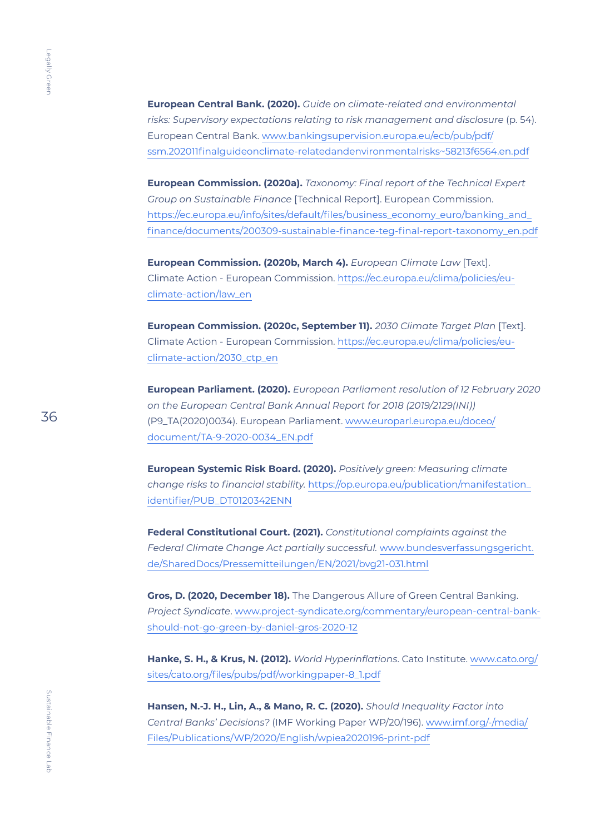**European Central Bank. (2020).** *Guide on climate-related and environmental risks: Supervisory expectations relating to risk management and disclosure* (p. 54). European Central Bank. [www.bankingsupervision.europa.eu/ecb/pub/pdf/](https://www.bankingsupervision.europa.eu/ecb/pub/pdf/ssm.202011finalguideonclimate-relatedandenvironmentalrisks~58213f6564.en.pdf) [ssm.202011finalguideonclimate-relatedandenvironmentalrisks~58213f6564.en.pdf](https://www.bankingsupervision.europa.eu/ecb/pub/pdf/ssm.202011finalguideonclimate-relatedandenvironmentalrisks~58213f6564.en.pdf)

**European Commission. (2020a).** *Taxonomy: Final report of the Technical Expert Group on Sustainable Finance* [Technical Report]. European Commission. [https://ec.europa.eu/info/sites/default/files/business\\_economy\\_euro/banking\\_and\\_](https://ec.europa.eu/info/sites/default/files/business_economy_euro/banking_and_finance/documents/200309-sustainable-finance-teg-final-report-taxonomy_en.pdf) [finance/documents/200309-sustainable-finance-teg-final-report-taxonomy\\_en.pdf](https://ec.europa.eu/info/sites/default/files/business_economy_euro/banking_and_finance/documents/200309-sustainable-finance-teg-final-report-taxonomy_en.pdf)

**European Commission. (2020b, March 4).** *European Climate Law* [Text]. Climate Action - European Commission. [https://ec.europa.eu/clima/policies/eu](https://ec.europa.eu/clima/policies/eu-climate-action/law_en)[climate-action/law\\_en](https://ec.europa.eu/clima/policies/eu-climate-action/law_en)

**European Commission. (2020c, September 11).** *2030 Climate Target Plan* [Text]. Climate Action - European Commission. [https://ec.europa.eu/clima/policies/eu](https://ec.europa.eu/clima/policies/eu-climate-action/2030_ctp_en)[climate-action/2030\\_ctp\\_en](https://ec.europa.eu/clima/policies/eu-climate-action/2030_ctp_en)

**European Parliament. (2020).** *European Parliament resolution of 12 February 2020 on the European Central Bank Annual Report for 2018 (2019/2129(INI))* (P9\_TA(2020)0034). European Parliament. [www.europarl.europa.eu/doceo/](https://www.europarl.europa.eu/doceo/document/TA-9-2020-0034_EN.pdf) [document/TA-9-2020-0034\\_EN.pdf](https://www.europarl.europa.eu/doceo/document/TA-9-2020-0034_EN.pdf)

**European Systemic Risk Board. (2020).** *Positively green: Measuring climate change risks to financial stability.* [https://op.europa.eu/publication/manifestation\\_](https://op.europa.eu/publication/manifestation_identifier/PUB_DT0120342ENN) [identifier/PUB\\_DT0120342ENN](https://op.europa.eu/publication/manifestation_identifier/PUB_DT0120342ENN)

**Federal Constitutional Court. (2021).** *Constitutional complaints against the Federal Climate Change Act partially successful.* [www.bundesverfassungsgericht.](https://www.bundesverfassungsgericht.de/SharedDocs/Pressemitteilungen/EN/2021/bvg21-031.html) [de/SharedDocs/Pressemitteilungen/EN/2021/bvg21-031.html](https://www.bundesverfassungsgericht.de/SharedDocs/Pressemitteilungen/EN/2021/bvg21-031.html)

**Gros, D. (2020, December 18).** The Dangerous Allure of Green Central Banking. *Project Syndicate*. [www.project-syndicate.org/commentary/european-central-bank](https://www.project-syndicate.org/commentary/european-central-bank-should-not-go-green-by-daniel-gros-2020-12)[should-not-go-green-by-daniel-gros-2020-12](https://www.project-syndicate.org/commentary/european-central-bank-should-not-go-green-by-daniel-gros-2020-12)

**Hanke, S. H., & Krus, N. (2012).** *World Hyperinflations*. Cato Institute. [www.cato.org/](https://www.cato.org/sites/cato.org/files/pubs/pdf/workingpaper-8_1.pdf) [sites/cato.org/files/pubs/pdf/workingpaper-8\\_1.pdf](https://www.cato.org/sites/cato.org/files/pubs/pdf/workingpaper-8_1.pdf)

**Hansen, N.-J. H., Lin, A., & Mano, R. C. (2020).** *Should Inequality Factor into Central Banks' Decisions?* (IMF Working Paper WP/20/196). [www.imf.org/-/media/](https://www.imf.org/-/media/Files/Publications/WP/2020/English/wpiea2020196-print-pdf) [Files/Publications/WP/2020/English/wpiea2020196-print-pdf](https://www.imf.org/-/media/Files/Publications/WP/2020/English/wpiea2020196-print-pdf)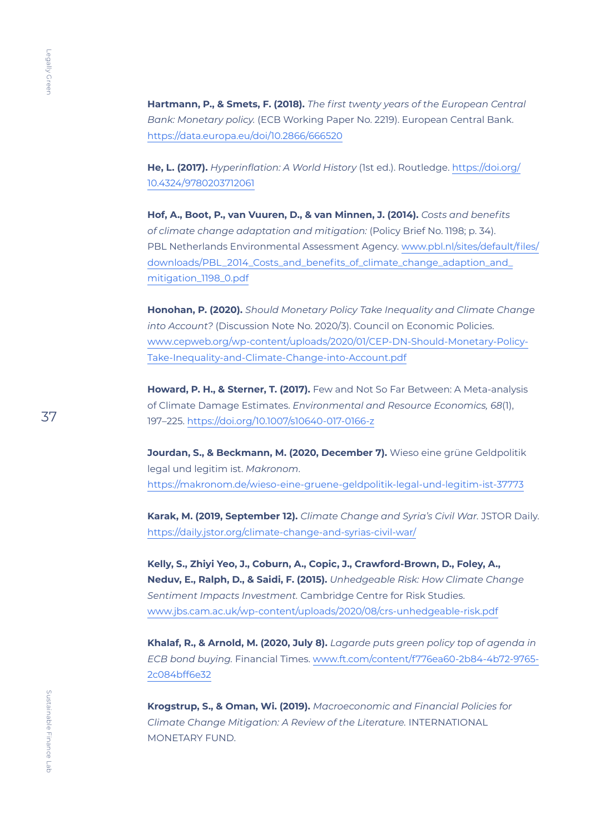**Hartmann, P., & Smets, F. (2018).** *The first twenty years of the European Central Bank: Monetary policy.* (ECB Working Paper No. 2219). European Central Bank. <https://data.europa.eu/doi/10.2866/666520>

**He, L. (2017).** *Hyperinflation: A World History* (1st ed.). Routledge. [https://doi.org/](https://doi.org/10.4324/9780203712061) [10.4324/9780203712061](https://doi.org/10.4324/9780203712061)

**Hof, A., Boot, P., van Vuuren, D., & van Minnen, J. (2014).** *Costs and benefits of climate change adaptation and mitigation:* (Policy Brief No. 1198; p. 34). PBL Netherlands Environmental Assessment Agency. [www.pbl.nl/sites/default/files/](https://www.pbl.nl/sites/default/files/downloads/PBL_2014_Costs_and_benefits_of_climate_change_adaption_and_mitigation_1198_0.pdf) [downloads/PBL\\_2014\\_Costs\\_and\\_benefits\\_of\\_climate\\_change\\_adaption\\_and\\_](https://www.pbl.nl/sites/default/files/downloads/PBL_2014_Costs_and_benefits_of_climate_change_adaption_and_mitigation_1198_0.pdf) [mitigation\\_1198\\_0.pdf](https://www.pbl.nl/sites/default/files/downloads/PBL_2014_Costs_and_benefits_of_climate_change_adaption_and_mitigation_1198_0.pdf)

**Honohan, P. (2020).** *Should Monetary Policy Take Inequality and Climate Change into Account?* (Discussion Note No. 2020/3). Council on Economic Policies. [www.cepweb.org/wp-content/uploads/2020/01/CEP-DN-Should-Monetary-Policy-](https://www.cepweb.org/wp-content/uploads/2020/01/CEP-DN-Should-Monetary-Policy-Take-Inequality-and-Climate-Change-into-Account.pdf)[Take-Inequality-and-Climate-Change-into-Account.pdf](https://www.cepweb.org/wp-content/uploads/2020/01/CEP-DN-Should-Monetary-Policy-Take-Inequality-and-Climate-Change-into-Account.pdf)

**Howard, P. H., & Sterner, T. (2017).** Few and Not So Far Between: A Meta-analysis of Climate Damage Estimates. *Environmental and Resource Economics, 68*(1), 197–225. <https://doi.org/10.1007/s10640-017-0166-z>

**Jourdan, S., & Beckmann, M. (2020, December 7).** Wieso eine grüne Geldpolitik legal und legitim ist. *Makronom*. <https://makronom.de/wieso-eine-gruene-geldpolitik-legal-und-legitim-ist-37773>

**Karak, M. (2019, September 12).** *Climate Change and Syria's Civil War.* JSTOR Daily. <https://daily.jstor.org/climate-change-and-syrias-civil-war/>

**Kelly, S., Zhiyi Yeo, J., Coburn, A., Copic, J., Crawford-Brown, D., Foley, A., Neduv, E., Ralph, D., & Saidi, F. (2015).** *Unhedgeable Risk: How Climate Change Sentiment Impacts Investment.* Cambridge Centre for Risk Studies. [www.jbs.cam.ac.uk/wp-content/uploads/2020/08/crs-unhedgeable-risk.pdf](https://www.jbs.cam.ac.uk/wp-content/uploads/2020/08/crs-unhedgeable-risk.pdf)

**Khalaf, R., & Arnold, M. (2020, July 8).** *Lagarde puts green policy top of agenda in ECB bond buying.* Financial Times. [www.ft.com/content/f776ea60-2b84-4b72-9765-](https://www.ft.com/content/f776ea60-2b84-4b72-9765-2c084bff6e32) [2c084bff6e32](https://www.ft.com/content/f776ea60-2b84-4b72-9765-2c084bff6e32)

**Krogstrup, S., & Oman, Wi. (2019).** *Macroeconomic and Financial Policies for Climate Change Mitigation: A Review of the Literature.* INTERNATIONAL MONETARY FUND.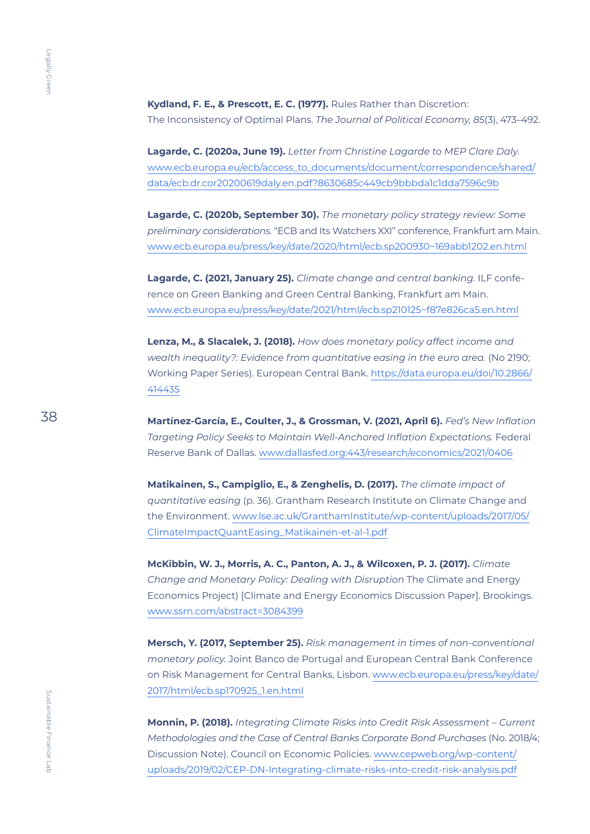**Kydland, F. E., & Prescott, E. C. (1977).** Rules Rather than Discretion: The Inconsistency of Optimal Plans. *The Journal of Political Economy, 85*(3), 473–492.

**Lagarde, C. (2020a, June 19).** *Letter from Christine Lagarde to MEP Clare Daly.*  [www.ecb.europa.eu/ecb/access\\_to\\_documents/document/correspondence/shared/](https://www.ecb.europa.eu/ecb/access_to_documents/document/correspondence/shared/data/ecb.dr.cor20200619daly.en.pdf?8630685c449cb9bbbda1c1dda7596c9b) [data/ecb.dr.cor20200619daly.en.pdf?8630685c449cb9bbbda1c1dda7596c9b](https://www.ecb.europa.eu/ecb/access_to_documents/document/correspondence/shared/data/ecb.dr.cor20200619daly.en.pdf?8630685c449cb9bbbda1c1dda7596c9b)

**Lagarde, C. (2020b, September 30).** *The monetary policy strategy review: Some preliminary considerations.* "ECB and Its Watchers XXI" conference, Frankfurt am Main. [www.ecb.europa.eu/press/key/date/2020/html/ecb.sp200930~169abb1202.en.html](https://www.ecb.europa.eu/press/key/date/2020/html/ecb.sp200930~169abb1202.en.html)

**Lagarde, C. (2021, January 25).** *Climate change and central banking.* ILF conference on Green Banking and Green Central Banking, Frankfurt am Main. [www.ecb.europa.eu/press/key/date/2021/html/ecb.sp210125~f87e826ca5.en.html](https://curia.europa.eu/juris/document/document.jsf?text=&docid=165057&pageIndex=0&doclang=en&mode=lst&dir=&occ=first&part=1&cid=8631853)

**Lenza, M., & Slacalek, J. (2018).** *How does monetary policy affect income and wealth inequality?: Evidence from quantitative easing in the euro area.* (No 2190; Working Paper Series). European Central Bank. [https://data.europa.eu/doi/10.2866/](https://data.europa.eu/doi/10.2866/414435) [414435](https://data.europa.eu/doi/10.2866/414435)

**Martínez-García, E., Coulter, J., & Grossman, V. (2021, April 6).** *Fed's New Inflation Targeting Policy Seeks to Maintain Well-Anchored Inflation Expectations.* Federal Reserve Bank of Dallas. [www.dallasfed.org:443/research/economics/2021/0406](https://www.dallasfed.org:443/research/economics/2021/0406)

**Matikainen, S., Campiglio, E., & Zenghelis, D. (2017).** *The climate impact of quantitative easing* (p. 36). Grantham Research Institute on Climate Change and the Environment. [www.lse.ac.uk/GranthamInstitute/wp-content/uploads/2017/05/](https://www.lse.ac.uk/GranthamInstitute/wp-content/uploads/2017/05/ClimateImpactQuantEasing_Matikainen-et-al-1.pdf) [ClimateImpactQuantEasing\\_Matikainen-et-al-1.pdf](https://www.lse.ac.uk/GranthamInstitute/wp-content/uploads/2017/05/ClimateImpactQuantEasing_Matikainen-et-al-1.pdf)

**McKibbin, W. J., Morris, A. C., Panton, A. J., & Wilcoxen, P. J. (2017).** *Climate Change and Monetary Policy: Dealing with Disruption* The Climate and Energy Economics Project) [Climate and Energy Economics Discussion Paper]. Brookings. [www.ssrn.com/abstract=3084399](https://www.ssrn.com/abstract=3084399)

**Mersch, Y. (2017, September 25).** *Risk management in times of non-conventional monetary policy.* Joint Banco de Portugal and European Central Bank Conference on Risk Management for Central Banks, Lisbon. [www.ecb.europa.eu/press/key/date/](https://www.ecb.europa.eu/press/key/date/2017/html/ecb.sp170925_1.en.html) [2017/html/ecb.sp170925\\_1.en.html](https://www.ecb.europa.eu/press/key/date/2017/html/ecb.sp170925_1.en.html)

**Monnin, P. (2018).** *Integrating Climate Risks into Credit Risk Assessment – Current Methodologies and the Case of Central Banks Corporate Bond Purchases* (No. 2018/4; Discussion Note). Council on Economic Policies. [www.cepweb.org/wp-content/](https://www.cepweb.org/wp-content/uploads/2019/02/CEP-DN-Integrating-climate-risks-into-credit-risk-analysis.pdf) [uploads/2019/02/CEP-DN-Integrating-climate-risks-into-credit-risk-analysis.pdf](https://www.cepweb.org/wp-content/uploads/2019/02/CEP-DN-Integrating-climate-risks-into-credit-risk-analysis.pdf)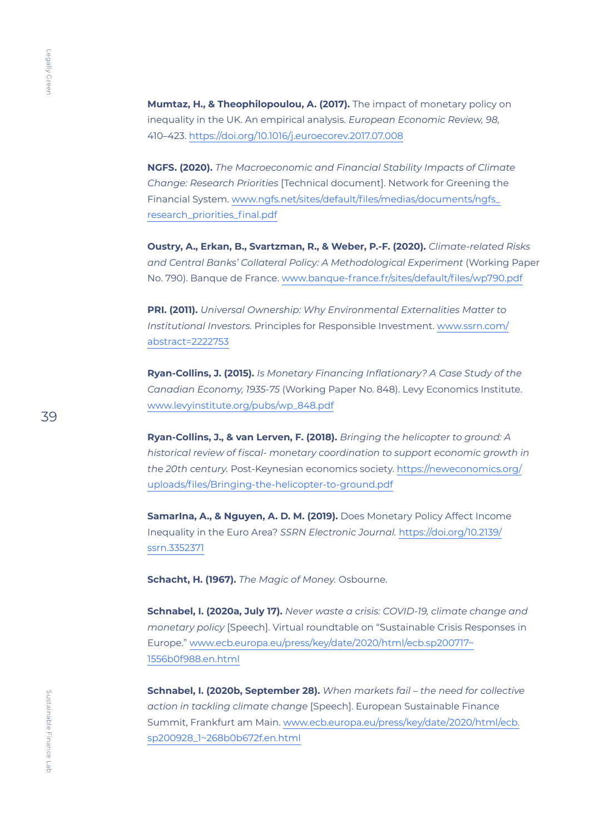**Mumtaz, H., & Theophilopoulou, A. (2017).** The impact of monetary policy on inequality in the UK. An empirical analysis. *European Economic Review, 98,* 410–423. <https://doi.org/10.1016/j.euroecorev.2017.07.008>

**NGFS. (2020).** *The Macroeconomic and Financial Stability Impacts of Climate Change: Research Priorities* [Technical document]. Network for Greening the Financial System. [www.ngfs.net/sites/default/files/medias/documents/ngfs\\_](https://www.ngfs.net/sites/default/files/medias/documents/ngfs_research_priorities_final.pdf) [research\\_priorities\\_final.pdf](https://www.ngfs.net/sites/default/files/medias/documents/ngfs_research_priorities_final.pdf)

**Oustry, A., Erkan, B., Svartzman, R., & Weber, P.-F. (2020).** *Climate-related Risks and Central Banks' Collateral Policy: A Methodological Experiment* (Working Paper No. 790). Banque de France. [www.banque-france.fr/sites/default/files/wp790.pdf](https://www.banque-france.fr/sites/default/files/wp790.pdf)

**PRI. (2011).** *Universal Ownership: Why Environmental Externalities Matter to Institutional Investors.* Principles for Responsible Investment. [www.ssrn.com/](http://www.ssrn.com/abstract=2222753) [abstract=2222753](http://www.ssrn.com/abstract=2222753)

**Ryan-Collins, J. (2015).** *Is Monetary Financing Inflationary? A Case Study of the Canadian Economy, 1935-75* (Working Paper No. 848). Levy Economics Institute. [www.levyinstitute.org/pubs/wp\\_848.pdf](http://www.levyinstitute.org/pubs/wp_848.pdf)

**Ryan-Collins, J., & van Lerven, F. (2018).** *Bringing the helicopter to ground: A historical review of fiscal- monetary coordination to support economic growth in the 20th century.* Post-Keynesian economics society. [https://neweconomics.org/](https://neweconomics.org/uploads/files/Bringing-the-helicopter-to-ground.pdf) [uploads/files/Bringing-the-helicopter-to-ground.pdf](https://neweconomics.org/uploads/files/Bringing-the-helicopter-to-ground.pdf)

**SamarIna, A., & Nguyen, A. D. M. (2019).** Does Monetary Policy Affect Income Inequality in the Euro Area? *SSRN Electronic Journal.* [https://doi.org/10.2139/](https://doi.org/10.2139/ssrn.3352371) [ssrn.3352371](https://doi.org/10.2139/ssrn.3352371)

**Schacht, H. (1967).** *The Magic of Money.* Osbourne.

**Schnabel, I. (2020a, July 17).** *Never waste a crisis: COVID-19, climate change and monetary policy* [Speech]. Virtual roundtable on "Sustainable Crisis Responses in Europe." [www.ecb.europa.eu/press/key/date/2020/html/ecb.sp200717~](https://www.ecb.europa.eu/press/key/date/2020/html/ecb.sp200717~1556b0f988.en.html) [1556b0f988.en.html](https://www.ecb.europa.eu/press/key/date/2020/html/ecb.sp200717~1556b0f988.en.html)

**Schnabel, I. (2020b, September 28).** *When markets fail – the need for collective action in tackling climate change* [Speech]. European Sustainable Finance Summit, Frankfurt am Main. [www.ecb.europa.eu/press/key/date/2020/html/ecb.](https://www.ecb.europa.eu/press/key/date/2020/html/ecb.sp200928_1~268b0b672f.en.html) [sp200928\\_1~268b0b672f.en.html](https://www.ecb.europa.eu/press/key/date/2020/html/ecb.sp200928_1~268b0b672f.en.html)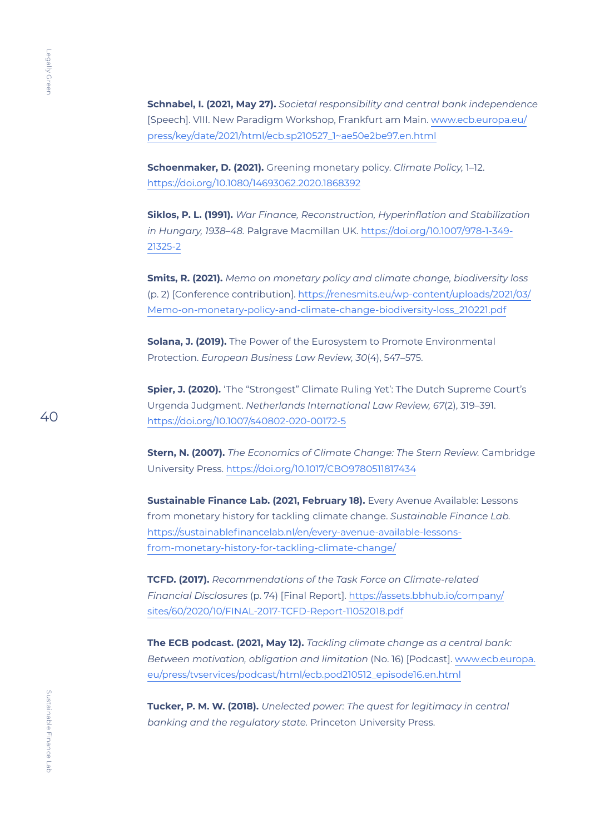**Schnabel, I. (2021, May 27).** *Societal responsibility and central bank independence* [Speech]. VIII. New Paradigm Workshop, Frankfurt am Main. [www.ecb.europa.eu/](https://www.ecb.europa.eu/press/key/date/2021/html/ecb.sp210527_1~ae50e2be97.en.html) [press/key/date/2021/html/ecb.sp210527\\_1~ae50e2be97.en.html](https://www.ecb.europa.eu/press/key/date/2021/html/ecb.sp210527_1~ae50e2be97.en.html)

**Schoenmaker, D. (2021).** Greening monetary policy. *Climate Policy,* 1–12. <https://doi.org/10.1080/14693062.2020.1868392>

**Siklos, P. L. (1991).** *War Finance, Reconstruction, Hyperinflation and Stabilization in Hungary, 1938–48.* Palgrave Macmillan UK. [https://doi.org/10.1007/978-1-349-](https://doi.org/10.1007/978-1-349-21325-2) [21325-2](https://doi.org/10.1007/978-1-349-21325-2)

**Smits, R. (2021).** *Memo on monetary policy and climate change, biodiversity loss* (p. 2) [Conference contribution]. [https://renesmits.eu/wp-content/uploads/2021/03/](https://renesmits.eu/wp-content/uploads/2021/03/Memo-on-monetary-policy-and-climate-change-biodiversity-loss_210221.pdf) [Memo-on-monetary-policy-and-climate-change-biodiversity-loss\\_210221.pdf](https://renesmits.eu/wp-content/uploads/2021/03/Memo-on-monetary-policy-and-climate-change-biodiversity-loss_210221.pdf)

**Solana, J. (2019).** The Power of the Eurosystem to Promote Environmental Protection. *European Business Law Review, 30*(4), 547–575.

**Spier, J. (2020).** 'The "Strongest" Climate Ruling Yet': The Dutch Supreme Court's Urgenda Judgment. *Netherlands International Law Review, 67*(2), 319–391. <https://doi.org/10.1007/s40802-020-00172-5>

**Stern, N. (2007).** *The Economics of Climate Change: The Stern Review.* Cambridge University Press.<https://doi.org/10.1017/CBO9780511817434>

**Sustainable Finance Lab. (2021, February 18).** Every Avenue Available: Lessons from monetary history for tackling climate change. *Sustainable Finance Lab.* [https://sustainablefinancelab.nl/en/every-avenue-available-lessons](https://sustainablefinancelab.nl/en/every-avenue-available-lessons-from-monetary-history-for-tackling-climate-change/)[from-monetary-history-for-tackling-climate-change/](https://sustainablefinancelab.nl/en/every-avenue-available-lessons-from-monetary-history-for-tackling-climate-change/)

**TCFD. (2017).** *Recommendations of the Task Force on Climate-related Financial Disclosures* (p. 74) [Final Report]. [https://assets.bbhub.io/company/](https://assets.bbhub.io/company/sites/60/2020/10/FINAL-2017-TCFD-Report-11052018.pdf) [sites/60/2020/10/FINAL-2017-TCFD-Report-11052018.pdf](https://assets.bbhub.io/company/sites/60/2020/10/FINAL-2017-TCFD-Report-11052018.pdf)

**The ECB podcast. (2021, May 12).** *Tackling climate change as a central bank: Between motivation, obligation and limitation* (No. 16) [Podcast]. [www.ecb.europa.](https://www.ecb.europa.eu/press/tvservices/podcast/html/ecb.pod210512_episode16.en.html) [eu/press/tvservices/podcast/html/ecb.pod210512\\_episode16.en.html](https://www.ecb.europa.eu/press/tvservices/podcast/html/ecb.pod210512_episode16.en.html)

**Tucker, P. M. W. (2018).** *Unelected power: The quest for legitimacy in central banking and the regulatory state.* Princeton University Press.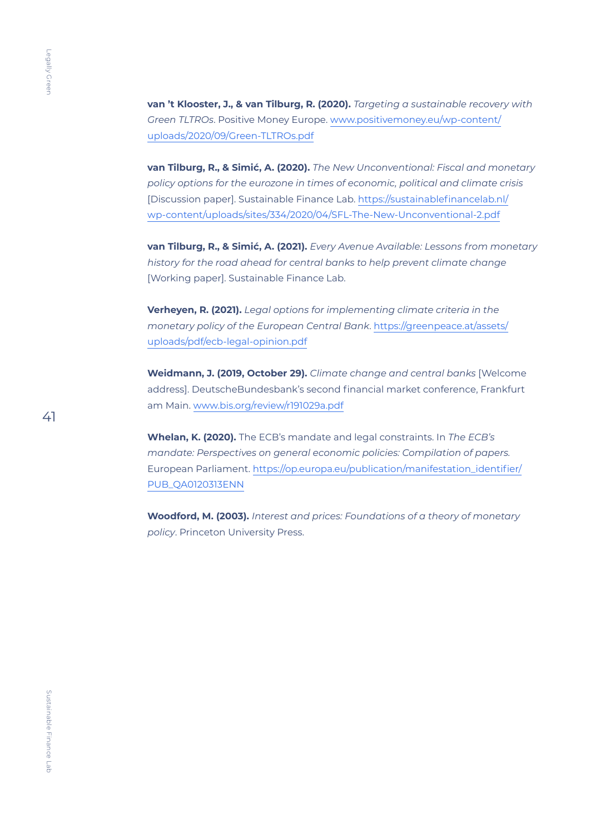**van 't Klooster, J., & van Tilburg, R. (2020).** *Targeting a sustainable recovery with Green TLTROs*. Positive Money Europe. [www.positivemoney.eu/wp-content/](http://www.positivemoney.eu/wp-content/uploads/2020/09/Green-TLTROs.pdf) [uploads/2020/09/Green-TLTROs.pdf](http://www.positivemoney.eu/wp-content/uploads/2020/09/Green-TLTROs.pdf)

**van Tilburg, R., & Simić, A. (2020).** *The New Unconventional: Fiscal and monetary policy options for the eurozone in times of economic, political and climate crisis* [Discussion paper]. Sustainable Finance Lab. [https://sustainablefinancelab.nl/](https://sustainablefinancelab.nl/wp-content/uploads/sites/334/2020/04/SFL-The-New-Unconventional-2.pdf) [wp-content/uploads/sites/334/2020/04/SFL-The-New-Unconventional-2.pdf](https://sustainablefinancelab.nl/wp-content/uploads/sites/334/2020/04/SFL-The-New-Unconventional-2.pdf)

**van Tilburg, R., & Simić, A. (2021).** *Every Avenue Available: Lessons from monetary history for the road ahead for central banks to help prevent climate change* [Working paper]. Sustainable Finance Lab.

**Verheyen, R. (2021).** *Legal options for implementing climate criteria in the monetary policy of the European Central Bank*. [https://greenpeace.at/assets/](https://greenpeace.at/assets/uploads/pdf/ecb-legal-opinion.pdf) [uploads/pdf/ecb-legal-opinion.pdf](https://greenpeace.at/assets/uploads/pdf/ecb-legal-opinion.pdf)

**Weidmann, J. (2019, October 29).** *Climate change and central banks* [Welcome address]. DeutscheBundesbank's second financial market conference, Frankfurt am Main. [www.bis.org/review/r191029a.pdf](https://www.bis.org/review/r191029a.pdf)

**Whelan, K. (2020).** The ECB's mandate and legal constraints. In *The ECB's mandate: Perspectives on general economic policies: Compilation of papers.* European Parliament. [https://op.europa.eu/publication/manifestation\\_identifier/](https://op.europa.eu/publication/manifestation_identifier/PUB_QA0120313ENN) PUB\_OA0120313ENN

**Woodford, M. (2003).** *Interest and prices: Foundations of a theory of monetary policy*. Princeton University Press.